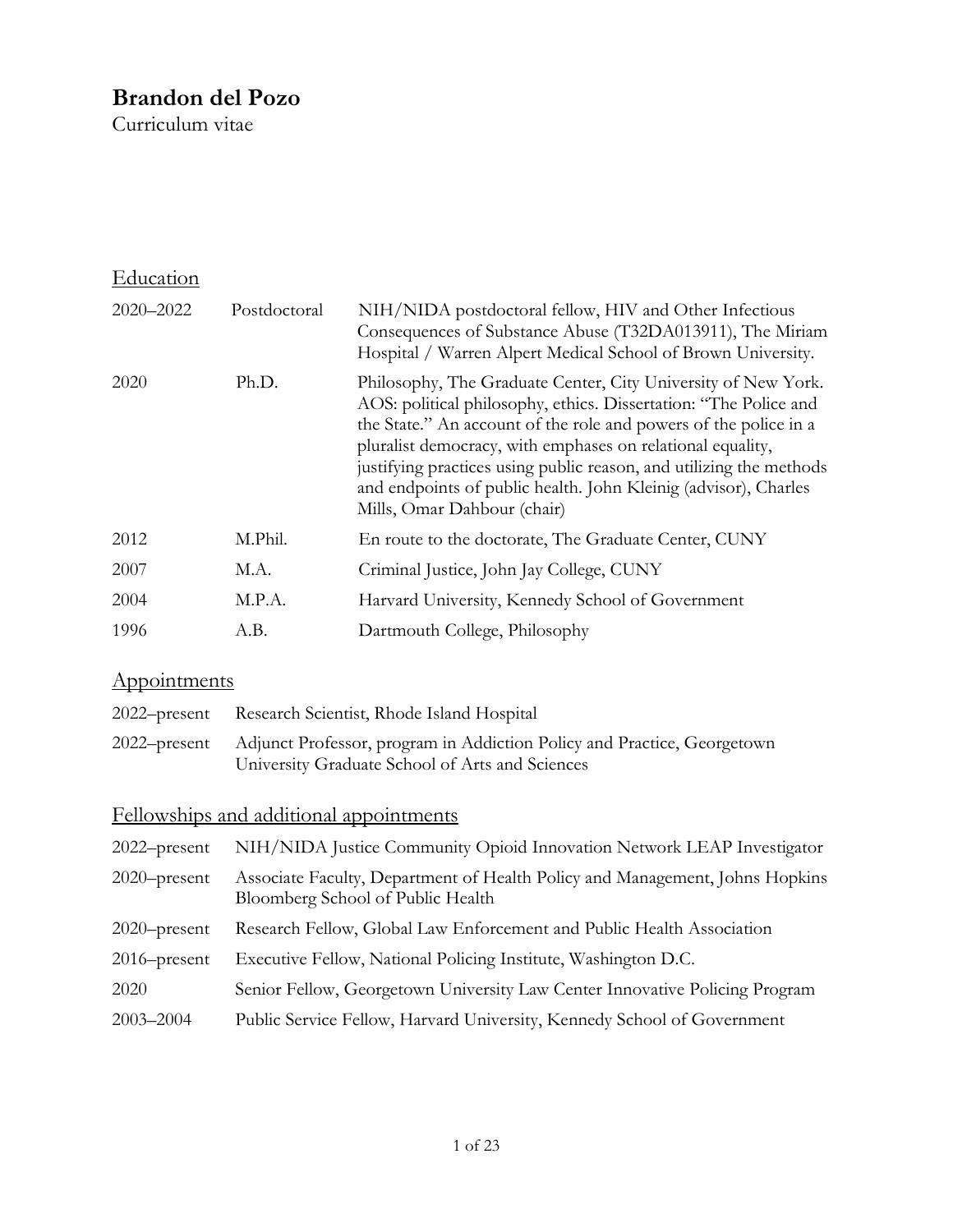## **Brandon del Pozo**

Curriculum vitae

| Education |              |                                                                                                                                                                                                                                                                                                                                                                                                                                              |
|-----------|--------------|----------------------------------------------------------------------------------------------------------------------------------------------------------------------------------------------------------------------------------------------------------------------------------------------------------------------------------------------------------------------------------------------------------------------------------------------|
| 2020-2022 | Postdoctoral | NIH/NIDA postdoctoral fellow, HIV and Other Infectious<br>Consequences of Substance Abuse (T32DA013911), The Miriam<br>Hospital / Warren Alpert Medical School of Brown University.                                                                                                                                                                                                                                                          |
| 2020      | Ph.D.        | Philosophy, The Graduate Center, City University of New York.<br>AOS: political philosophy, ethics. Dissertation: "The Police and<br>the State." An account of the role and powers of the police in a<br>pluralist democracy, with emphases on relational equality,<br>justifying practices using public reason, and utilizing the methods<br>and endpoints of public health. John Kleinig (advisor), Charles<br>Mills, Omar Dahbour (chair) |
| 2012      | M.Phil.      | En route to the doctorate, The Graduate Center, CUNY                                                                                                                                                                                                                                                                                                                                                                                         |
| 2007      | M.A.         | Criminal Justice, John Jay College, CUNY                                                                                                                                                                                                                                                                                                                                                                                                     |
| 2004      | M.P.A.       | Harvard University, Kennedy School of Government                                                                                                                                                                                                                                                                                                                                                                                             |
| 1996      | A.B.         | Dartmouth College, Philosophy                                                                                                                                                                                                                                                                                                                                                                                                                |

# Appointments

| 2022–present Research Scientist, Rhode Island Hospital                               |
|--------------------------------------------------------------------------------------|
| 2022–present Adjunct Professor, program in Addiction Policy and Practice, Georgetown |
| University Graduate School of Arts and Sciences                                      |

## Fellowships and additional appointments

| $2022$ -present | NIH/NIDA Justice Community Opioid Innovation Network LEAP Investigator                                            |
|-----------------|-------------------------------------------------------------------------------------------------------------------|
| $2020$ -present | Associate Faculty, Department of Health Policy and Management, Johns Hopkins<br>Bloomberg School of Public Health |
| $2020$ -present | Research Fellow, Global Law Enforcement and Public Health Association                                             |
| $2016$ -present | Executive Fellow, National Policing Institute, Washington D.C.                                                    |
| 2020            | Senior Fellow, Georgetown University Law Center Innovative Policing Program                                       |
| $2003 - 2004$   | Public Service Fellow, Harvard University, Kennedy School of Government                                           |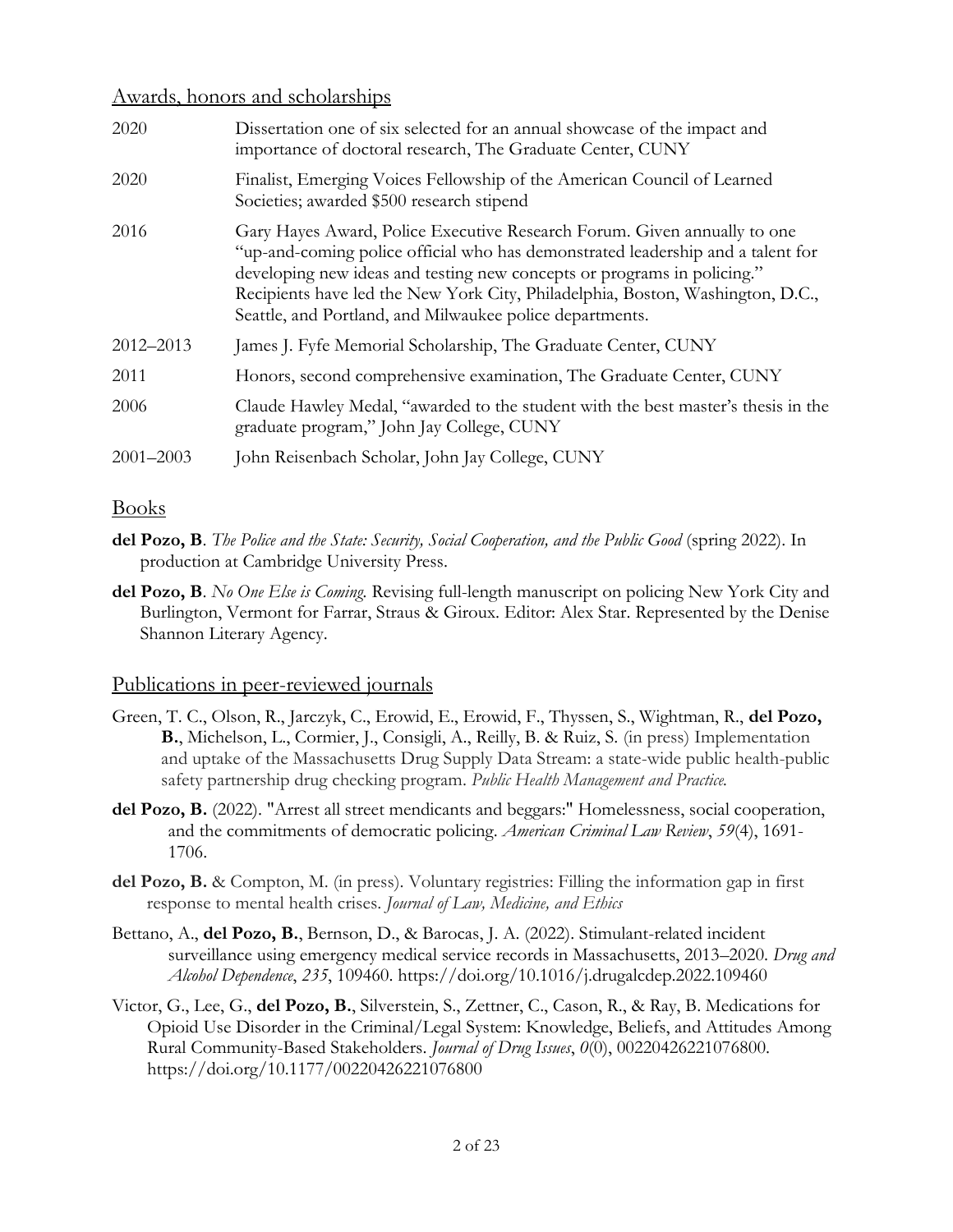#### Awards, honors and scholarships

| 2020          | Dissertation one of six selected for an annual showcase of the impact and<br>importance of doctoral research, The Graduate Center, CUNY                                                                                                                                                                                                                                              |
|---------------|--------------------------------------------------------------------------------------------------------------------------------------------------------------------------------------------------------------------------------------------------------------------------------------------------------------------------------------------------------------------------------------|
| 2020          | Finalist, Emerging Voices Fellowship of the American Council of Learned<br>Societies; awarded \$500 research stipend                                                                                                                                                                                                                                                                 |
| 2016          | Gary Hayes Award, Police Executive Research Forum. Given annually to one<br>"up-and-coming police official who has demonstrated leadership and a talent for<br>developing new ideas and testing new concepts or programs in policing."<br>Recipients have led the New York City, Philadelphia, Boston, Washington, D.C.,<br>Seattle, and Portland, and Milwaukee police departments. |
| 2012-2013     | James J. Fyfe Memorial Scholarship, The Graduate Center, CUNY                                                                                                                                                                                                                                                                                                                        |
| 2011          | Honors, second comprehensive examination, The Graduate Center, CUNY                                                                                                                                                                                                                                                                                                                  |
| 2006          | Claude Hawley Medal, "awarded to the student with the best master's thesis in the<br>graduate program," John Jay College, CUNY                                                                                                                                                                                                                                                       |
| $2001 - 2003$ | John Reisenbach Scholar, John Jay College, CUNY                                                                                                                                                                                                                                                                                                                                      |

#### Books

- **del Pozo, B**. *The Police and the State: Security, Social Cooperation, and the Public Good* (spring 2022). In production at Cambridge University Press.
- **del Pozo, B**. *No One Else is Coming.* Revising full-length manuscript on policing New York City and Burlington, Vermont for Farrar, Straus & Giroux. Editor: Alex Star. Represented by the Denise Shannon Literary Agency.

### Publications in peer-reviewed journals

- Green, T. C., Olson, R., Jarczyk, C., Erowid, E., Erowid, F., Thyssen, S., Wightman, R., **del Pozo, B.**, Michelson, L., Cormier, J., Consigli, A., Reilly, B. & Ruiz, S. (in press) Implementation and uptake of the Massachusetts Drug Supply Data Stream: a state-wide public health-public safety partnership drug checking program. *Public Health Management and Practice.*
- **del Pozo, B.** (2022). "Arrest all street mendicants and beggars:" Homelessness, social cooperation, and the commitments of democratic policing. *American Criminal Law Review*, *59*(4), 1691- 1706.
- **del Pozo, B.** & Compton, M. (in press). Voluntary registries: Filling the information gap in first response to mental health crises. *Journal of Law, Medicine, and Ethics*
- Bettano, A., **del Pozo, B.**, Bernson, D., & Barocas, J. A. (2022). Stimulant-related incident surveillance using emergency medical service records in Massachusetts, 2013–2020. *Drug and Alcohol Dependence*, *235*, 109460. https://doi.org/10.1016/j.drugalcdep.2022.109460
- Victor, G., Lee, G., **del Pozo, B.**, Silverstein, S., Zettner, C., Cason, R., & Ray, B. Medications for Opioid Use Disorder in the Criminal/Legal System: Knowledge, Beliefs, and Attitudes Among Rural Community-Based Stakeholders. *Journal of Drug Issues*, *0*(0), 00220426221076800. https://doi.org/10.1177/00220426221076800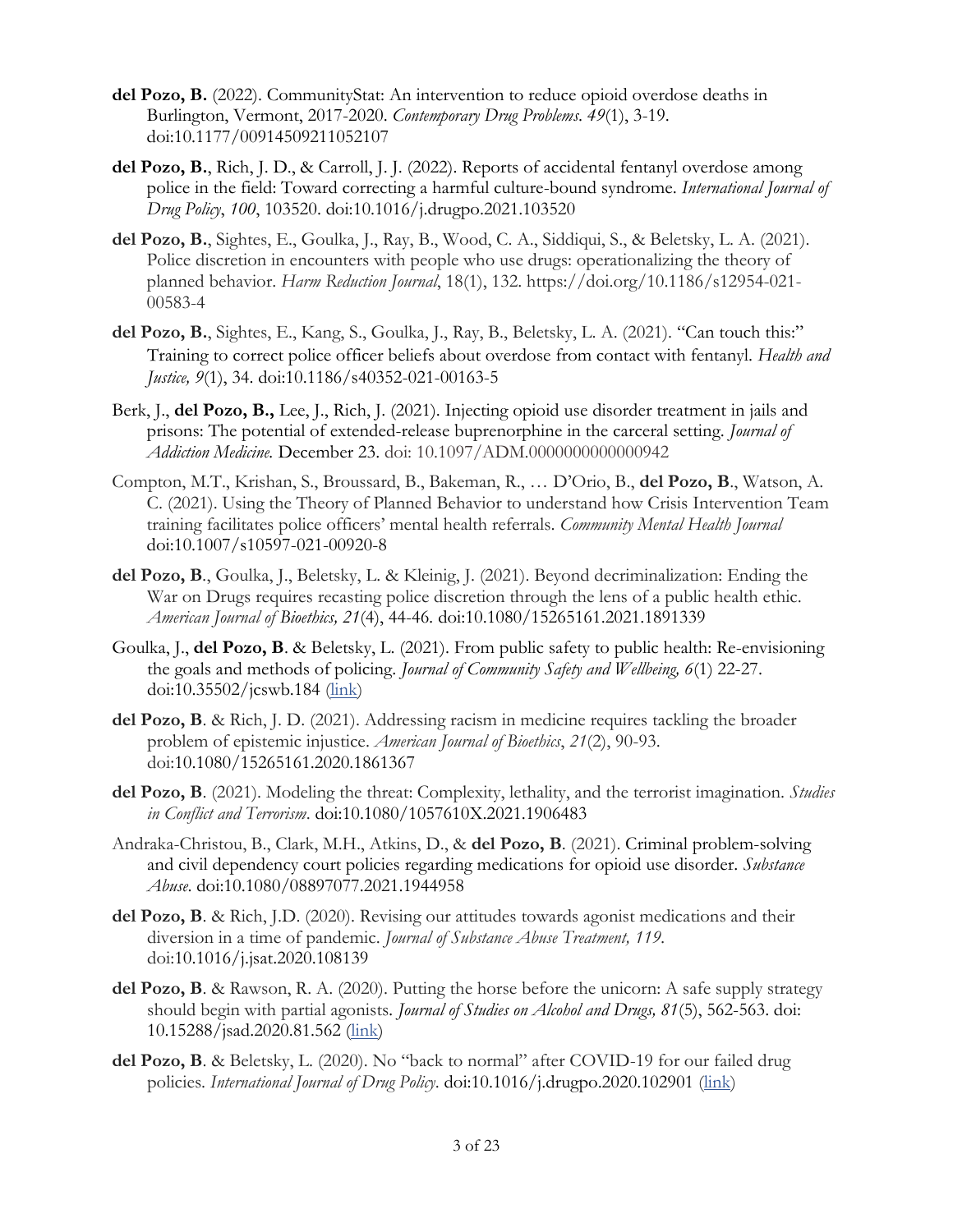- **del Pozo, B.** (2022). CommunityStat: An intervention to reduce opioid overdose deaths in Burlington, Vermont, 2017-2020. *Contemporary Drug Problems*. *49*(1), 3-19. doi:10.1177/00914509211052107
- **del Pozo, B.**, Rich, J. D., & Carroll, J. J. (2022). Reports of accidental fentanyl overdose among police in the field: Toward correcting a harmful culture-bound syndrome. *International Journal of Drug Policy*, *100*, 103520. doi:10.1016/j.drugpo.2021.103520
- **del Pozo, B.**, Sightes, E., Goulka, J., Ray, B., Wood, C. A., Siddiqui, S., & Beletsky, L. A. (2021). Police discretion in encounters with people who use drugs: operationalizing the theory of planned behavior. *Harm Reduction Journal*, 18(1), 132. https://doi.org/10.1186/s12954-021- 00583-4
- **del Pozo, B.**, Sightes, E., Kang, S., Goulka, J., Ray, B., Beletsky, L. A. (2021). "Can touch this:" Training to correct police officer beliefs about overdose from contact with fentanyl. *Health and Justice, 9*(1), 34. doi:10.1186/s40352-021-00163-5
- Berk, J., **del Pozo, B.,** Lee, J., Rich, J. (2021). Injecting opioid use disorder treatment in jails and prisons: The potential of extended-release buprenorphine in the carceral setting. *Journal of Addiction Medicine.* December 23. doi: 10.1097/ADM.0000000000000942
- Compton, M.T., Krishan, S., Broussard, B., Bakeman, R., … D'Orio, B., **del Pozo, B**., Watson, A. C. (2021). Using the Theory of Planned Behavior to understand how Crisis Intervention Team training facilitates police officers' mental health referrals. *Community Mental Health Journal* doi:10.1007/s10597-021-00920-8
- **del Pozo, B***.*, Goulka, J., Beletsky, L. & Kleinig, J. (2021). Beyond decriminalization: Ending the War on Drugs requires recasting police discretion through the lens of a public health ethic. *American Journal of Bioethics, 21*(4), 44-46*.* doi:10.1080/15265161.2021.1891339
- Goulka, J., **del Pozo, B**. & Beletsky, L. (2021). From public safety to public health: Re-envisioning the goals and methods of policing. *Journal of Community Safety and Wellbeing, 6*(1) 22-27. doi:10.35502/jcswb.184 [\(link\)](https://www.journalcswb.ca/index.php/cswb/article/view/184)
- **del Pozo, B**. & Rich, J. D. (2021). Addressing racism in medicine requires tackling the broader problem of epistemic injustice. *American Journal of Bioethics*, *21*(2), 90-93. doi:10.1080/15265161.2020.1861367
- **del Pozo, B**. (2021). Modeling the threat: Complexity, lethality, and the terrorist imagination. *Studies in Conflict and Terrorism*. doi:10.1080/1057610X.2021.1906483
- Andraka-Christou, B., Clark, M.H., Atkins, D., & **del Pozo, B**. (2021). Criminal problem-solving and civil dependency court policies regarding medications for opioid use disorder. *Substance Abuse*. [doi:10.1080/08897077.2021.1944958](https://doi.org/10.1080/08897077.2021.1944958)
- **del Pozo, B**. & Rich, J.D. (2020). Revising our attitudes towards agonist medications and their diversion in a time of pandemic. *Journal of Substance Abuse Treatment, 119.* doi:10.1016/j.jsat.2020.108139
- **del Pozo, B**. & Rawson, R. A. (2020). Putting the horse before the unicorn: A safe supply strategy should begin with partial agonists*. Journal of Studies on Alcohol and Drugs, 81*(5), 562-563. doi: 10.15288/jsad.2020.81.562 [\(link\)](https://www.jsad.com/doi/10.15288/jsad.2020.81.562)
- del Pozo, B. & Beletsky, L. (2020). No "back to normal" after COVID-19 for our failed drug policies. *International Journal of Drug Policy*. doi:10.1016/j.drugpo.2020.102901 [\(link\)](https://doi.org/10.1016/j.drugpo.2020.102901)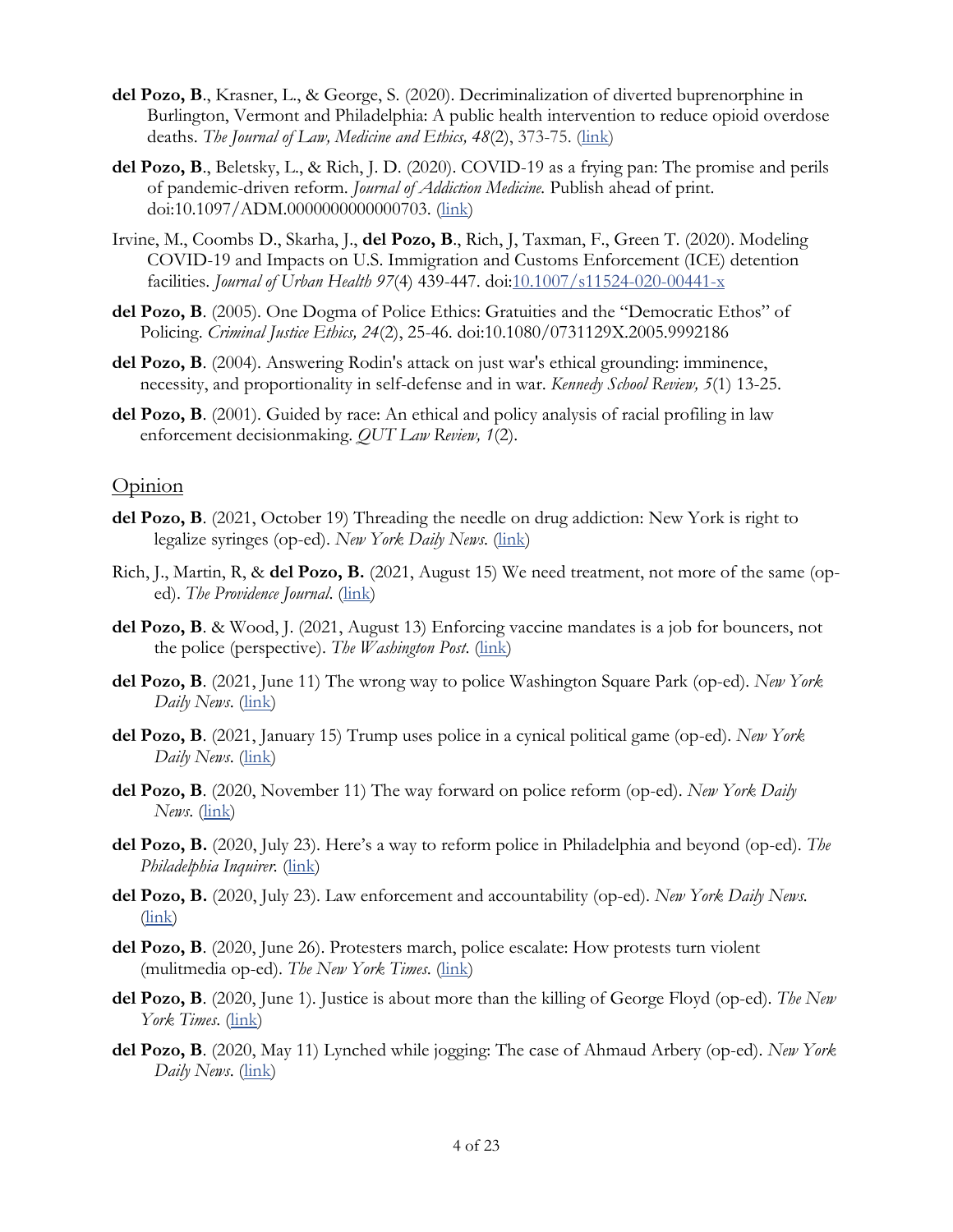- **del Pozo, B**., Krasner, L., & George, S. (2020). Decriminalization of diverted buprenorphine in Burlington, Vermont and Philadelphia: A public health intervention to reduce opioid overdose deaths. *The Journal of Law, Medicine and Ethics, 48*(2), 373-75. [\(link\)](https://journals.sagepub.com/doi/abs/10.1177/1073110520935353)
- **del Pozo, B**., Beletsky, L., & Rich, J. D. (2020). COVID-19 as a frying pan: The promise and perils of pandemic-driven reform. *Journal of Addiction Medicine.* Publish ahead of print. doi:10.1097/ADM.0000000000000703. [\(link\)](https://journals.lww.com/journaladdictionmedicine/Abstract/9000/COVID_19_as_a_Frying_Pan__The_Promise_and_Perils.99205.aspx)
- Irvine, M., Coombs D., Skarha, J., **del Pozo, B**., Rich, J, Taxman, F., Green T. (2020). Modeling COVID-19 and Impacts on U.S. Immigration and Customs Enforcement (ICE) detention facilities. *Journal of Urban Health 97*(4) 439-447. doi[:10.1007/s11524-020-00441-x](https://dx.doi.org/10.1007%2Fs11524-020-00441-x)
- **del Pozo, B**. (2005). One Dogma of Police Ethics: Gratuities and the "Democratic Ethos" of Policing. *Criminal Justice Ethics, 24*(2), 25-46. doi:10.1080/0731129X.2005.9992186
- **del Pozo, B**. (2004). Answering Rodin's attack on just war's ethical grounding: imminence, necessity, and proportionality in self-defense and in war. *Kennedy School Review, 5*(1) 13-25.
- **del Pozo, B**. (2001). Guided by race: An ethical and policy analysis of racial profiling in law enforcement decisionmaking. *QUT Law Review, 1*(2).

#### **Opinion**

- **del Pozo, B**. (2021, October 19) Threading the needle on drug addiction: New York is right to legalize syringes (op-ed). *New York Daily News*. [\(link\)](https://www.nydailynews.com/opinion/ny-oped-threading-the-needle-20211020-34qh53t4ejd2bgenlbq6lntqp4-story.html)
- Rich, J., Martin, R, & **del Pozo, B.** (2021, August 15) We need treatment, not more of the same (oped). *The Providence Journal.* [\(link\)](https://www.providencejournal.com/story/opinion/columns/2021/08/15/opinion-rich-and-martin-we-need-treatment-not-more-same/8115013002/)
- **del Pozo, B**. & Wood, J. (2021, August 13) Enforcing vaccine mandates is a job for bouncers, not the police (perspective). *The Washington Post*. [\(link\)](https://www.washingtonpost.com/outlook/vaccine-mandates-police-private-security/2021/08/13/4640d678-fb91-11eb-8a67-f14cd1d28e47_story.html)
- **del Pozo, B**. (2021, June 11) The wrong way to police Washington Square Park (op-ed). *New York Daily News*. [\(link\)](https://www.nydailynews.com/opinion/ny-oped-the-wrong-way-to-police-washington-square-park-20210611-sbxs63amw5f3tbkmvct4vv6gru-story.html)
- **del Pozo, B**. (2021, January 15) Trump uses police in a cynical political game (op-ed). *New York Daily News*. [\(link\)](https://www.nydailynews.com/opinion/ny-oped-trump-uses-cops-as-pawns-20210115-cgrd6e2q45fjpcui4pzqgxqe3u-story.html#nt=pf-double%20chain~unnamed-chain-1~feed-driven%20flex%20feature~automated~sub-topic-feed-4~CGRD6E2Q45FJPCUI4PZQGXQE3U~3~3~4~7~art%20yes)
- **del Pozo, B**. (2020, November 11) The way forward on police reform (op-ed). *New York Daily News*. [\(link\)](https://www.nydailynews.com/opinion/ny-oped-the-way-forward-on-police-reform-20201118-vd6rcixvafdwdmervdh6zraebm-story.html)
- **del Pozo, B.** (2020, July 23). Here's a way to reform police in Philadelphia and beyond (op-ed). *The Philadelphia Inquirer.* [\(link\)](https://www.inquirer.com/opinion/commentary/walter-wallace-police-shooting-reform-philadelphia-20201102.html)
- **del Pozo, B.** (2020, July 23). Law enforcement and accountability (op-ed). *New York Daily News.* [\(link\)](https://www.nydailynews.com/opinion/ny-oped-the-feds-cops-and-accountability-20200723-k7vhagbgy5dqjed363e4kmtz7q-story.html)
- **del Pozo, B**. (2020, June 26). Protesters march, police escalate: How protests turn violent (mulitmedia op-ed). *The New York Times*. [\(link\)](https://www.nytimes.com/interactive/2020/06/26/opinion/blm-protests-police-violence.html)
- **del Pozo, B**. (2020, June 1). Justice is about more than the killing of George Floyd (op-ed). *The New York Times*. [\(link\)](https://www.nytimes.com/2020/06/01/opinion/george-floyd-police-protests.html)
- **del Pozo, B**. (2020, May 11) Lynched while jogging: The case of Ahmaud Arbery (op-ed). *New York Daily News*. [\(link\)](https://www.nydailynews.com/opinion/ny-oped-lynched-for-jogging-20200511-23ta3o7nbfejthmy6mbu3ygtra-story.html)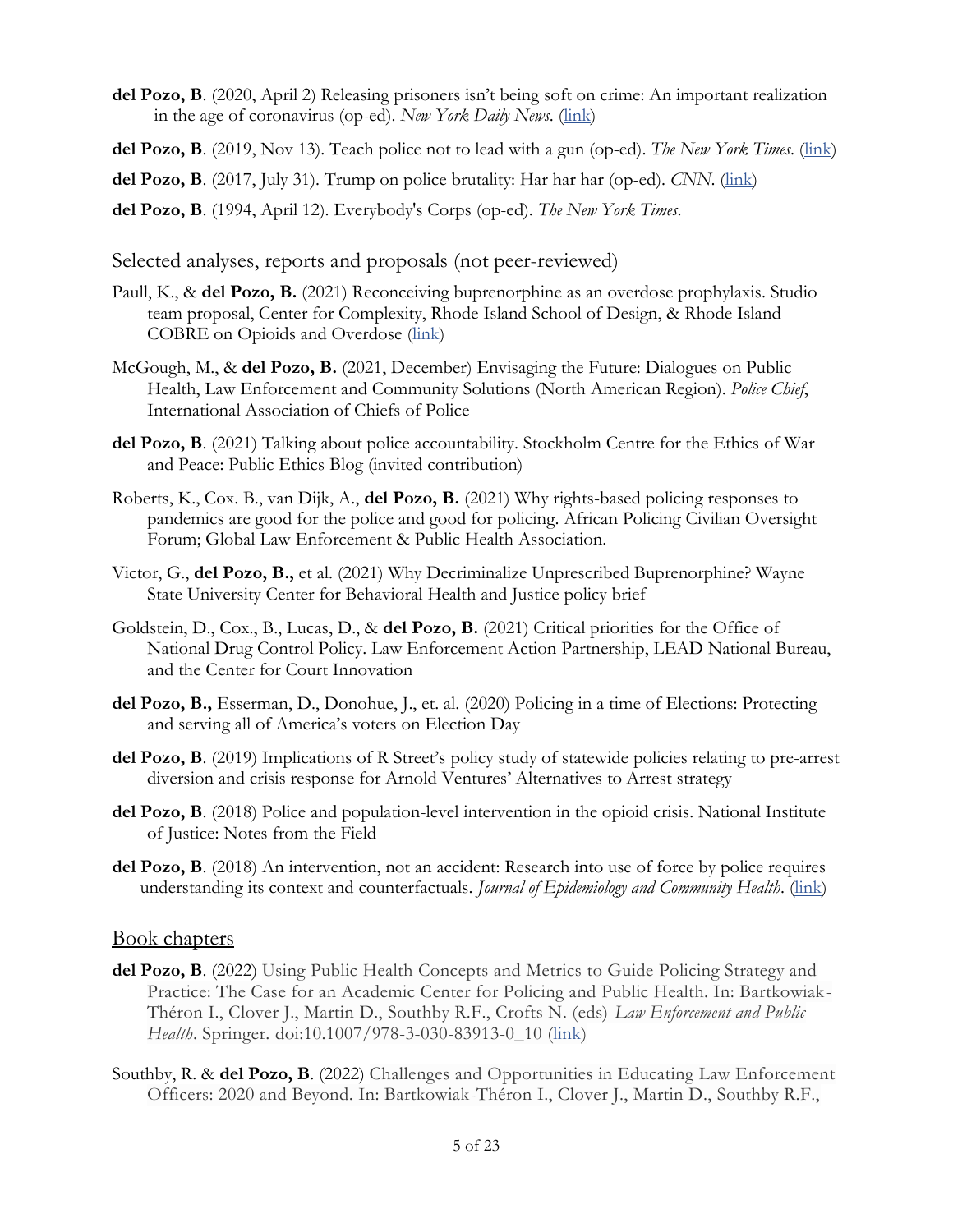- **del Pozo, B**. (2020, April 2) Releasing prisoners isn't being soft on crime: An important realization in the age of coronavirus (op-ed). *New York Daily News*. [\(link\)](https://www.nydailynews.com/opinion/ny-oped-locking-people-up-isnt-tough-20200402-tqkhlzd6yjh5di4nc3cpya2aim-story.html)
- **del Pozo, B**. (2019, Nov 13). Teach police not to lead with a gun (op-ed). *The New York Times*. [\(link\)](http://www.nytimes.com/2019/11/13/opinion/police-shootings-guns.html)
- del Pozo, B. (2017, July 31). Trump on police brutality: Har har har (op-ed). *CNN*. [\(link\)](http://www.tinyurl.com/TrumpHarHarHar)
- **del Pozo, B**. (1994, April 12). Everybody's Corps (op-ed). *The New York Times*.

#### Selected analyses, reports and proposals (not peer-reviewed)

- Paull, K., & **del Pozo, B.** (2021) Reconceiving buprenorphine as an overdose prophylaxis. Studio team proposal, Center for Complexity, Rhode Island School of Design, & Rhode Island COBRE on Opioids and Overdose [\(link\)](https://img1.wsimg.com/blobby/go/f3f11b75-143e-4007-a4ef-d815ec0cbd12/Bupe%20as%20OD%20prevention%20-%20Paull-del%20Pozo.pdf)
- McGough, M., & **del Pozo, B.** (2021, December) Envisaging the Future: Dialogues on Public Health, Law Enforcement and Community Solutions (North American Region). *Police Chief*, International Association of Chiefs of Police
- **del Pozo, B**. (2021) Talking about police accountability. Stockholm Centre for the Ethics of War and Peace: Public Ethics Blog (invited contribution)
- Roberts, K., Cox. B., van Dijk, A., **del Pozo, B.** (2021) Why rights-based policing responses to pandemics are good for the police and good for policing. African Policing Civilian Oversight Forum; Global Law Enforcement & Public Health Association.
- Victor, G., **del Pozo, B.,** et al. (2021) Why Decriminalize Unprescribed Buprenorphine? Wayne State University Center for Behavioral Health and Justice policy brief
- Goldstein, D., Cox., B., Lucas, D., & **del Pozo, B.** (2021) Critical priorities for the Office of National Drug Control Policy. Law Enforcement Action Partnership, LEAD National Bureau, and the Center for Court Innovation
- **del Pozo, B.,** Esserman, D., Donohue, J., et. al. (2020) Policing in a time of Elections: Protecting and serving all of America's voters on Election Day
- del Pozo, B. (2019) Implications of R Street's policy study of statewide policies relating to pre-arrest diversion and crisis response for Arnold Ventures' Alternatives to Arrest strategy
- **del Pozo, B**. (2018) Police and population-level intervention in the opioid crisis. National Institute of Justice: Notes from the Field
- **del Pozo, B**. (2018) An intervention, not an accident: Research into use of force by police requires understanding its context and counterfactuals. *Journal of Epidemiology and Community Health*. [\(link\)](https://jech.bmj.com/content/72/8/715.responses)

#### Book chapters

- **del Pozo, B**. (2022) Using Public Health Concepts and Metrics to Guide Policing Strategy and Practice: The Case for an Academic Center for Policing and Public Health. In: Bartkowiak-Théron I., Clover J., Martin D., Southby R.F., Crofts N. (eds) *Law Enforcement and Public Health*. Springer. doi:10.1007/978-3-030-83913-0\_10 [\(link\)](https://link.springer.com/chapter/10.1007/978-3-030-83913-0_10)
- Southby, R. & **del Pozo, B**. (2022) Challenges and Opportunities in Educating Law Enforcement Officers: 2020 and Beyond. In: Bartkowiak-Théron I., Clover J., Martin D., Southby R.F.,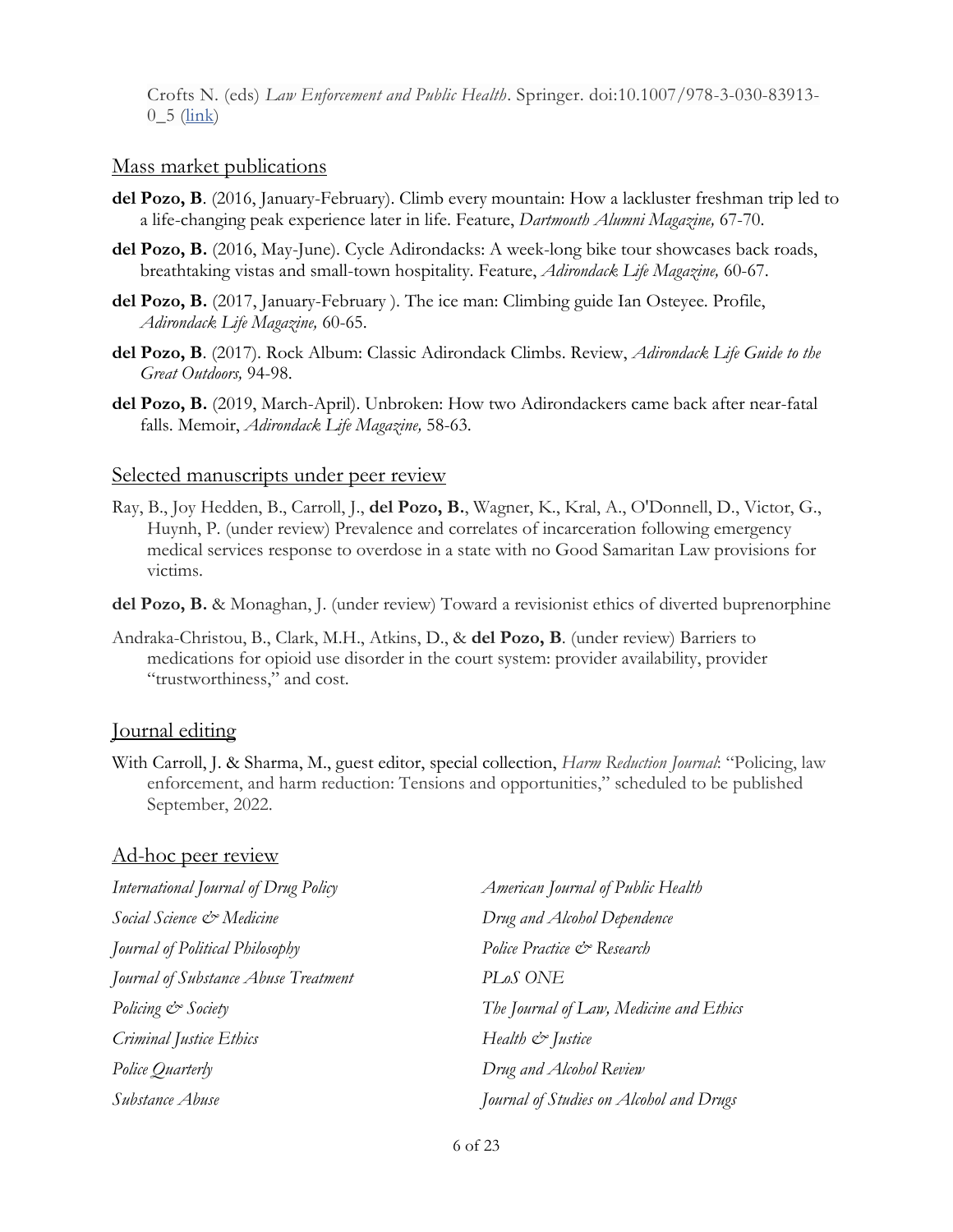Crofts N. (eds) *Law Enforcement and Public Health*. Springer. doi:10.1007/978-3-030-83913-  $0_{-5}$  [\(link\)](https://link.springer.com/chapter/10.1007/978-3-030-83913-0_5#citeas)

#### Mass market publications

- **del Pozo, B**. (2016, January-February). Climb every mountain: How a lackluster freshman trip led to a life-changing peak experience later in life. Feature, *Dartmouth Alumni Magazine,* 67-70.
- **del Pozo, B.** (2016, May-June). Cycle Adirondacks: A week-long bike tour showcases back roads, breathtaking vistas and small-town hospitality. Feature, *Adirondack Life Magazine,* 60-67.
- **del Pozo, B.** (2017, January-February ). The ice man: Climbing guide Ian Osteyee. Profile, *Adirondack Life Magazine,* 60-65.
- **del Pozo, B**. (2017). Rock Album: Classic Adirondack Climbs. Review, *Adirondack Life Guide to the Great Outdoors,* 94-98.
- **del Pozo, B.** (2019, March-April). Unbroken: How two Adirondackers came back after near-fatal falls. Memoir, *Adirondack Life Magazine,* 58-63.

#### Selected manuscripts under peer review

- Ray, B., Joy Hedden, B., Carroll, J., **del Pozo, B.**, Wagner, K., Kral, A., O'Donnell, D., Victor, G., Huynh, P. (under review) Prevalence and correlates of incarceration following emergency medical services response to overdose in a state with no Good Samaritan Law provisions for victims.
- **del Pozo, B.** & Monaghan, J. (under review) Toward a revisionist ethics of diverted buprenorphine
- Andraka-Christou, B., Clark, M.H., Atkins, D., & **del Pozo, B**. (under review) Barriers to medications for opioid use disorder in the court system: provider availability, provider "trustworthiness," and cost.

#### Journal editing

With Carroll, J. & Sharma, M., guest editor, special collection, *Harm Reduction Journal*: "Policing, law enforcement, and harm reduction: Tensions and opportunities," scheduled to be published September, 2022.

#### Ad-hoc peer review

| International Journal of Drug Policy | American Journal of Public Health       |
|--------------------------------------|-----------------------------------------|
| Social Science & Medicine            | Drug and Alcohol Dependence             |
| Journal of Political Philosophy      | Police Practice & Research              |
| Journal of Substance Abuse Treatment | PLoS ONE                                |
| Policing & Society                   | The Journal of Law, Medicine and Ethics |
| Criminal Justice Ethics              | Health & Justice                        |
| Police Quarterly                     | Drug and Alcohol Review                 |
| Substance Abuse                      | Journal of Studies on Alcohol and Drugs |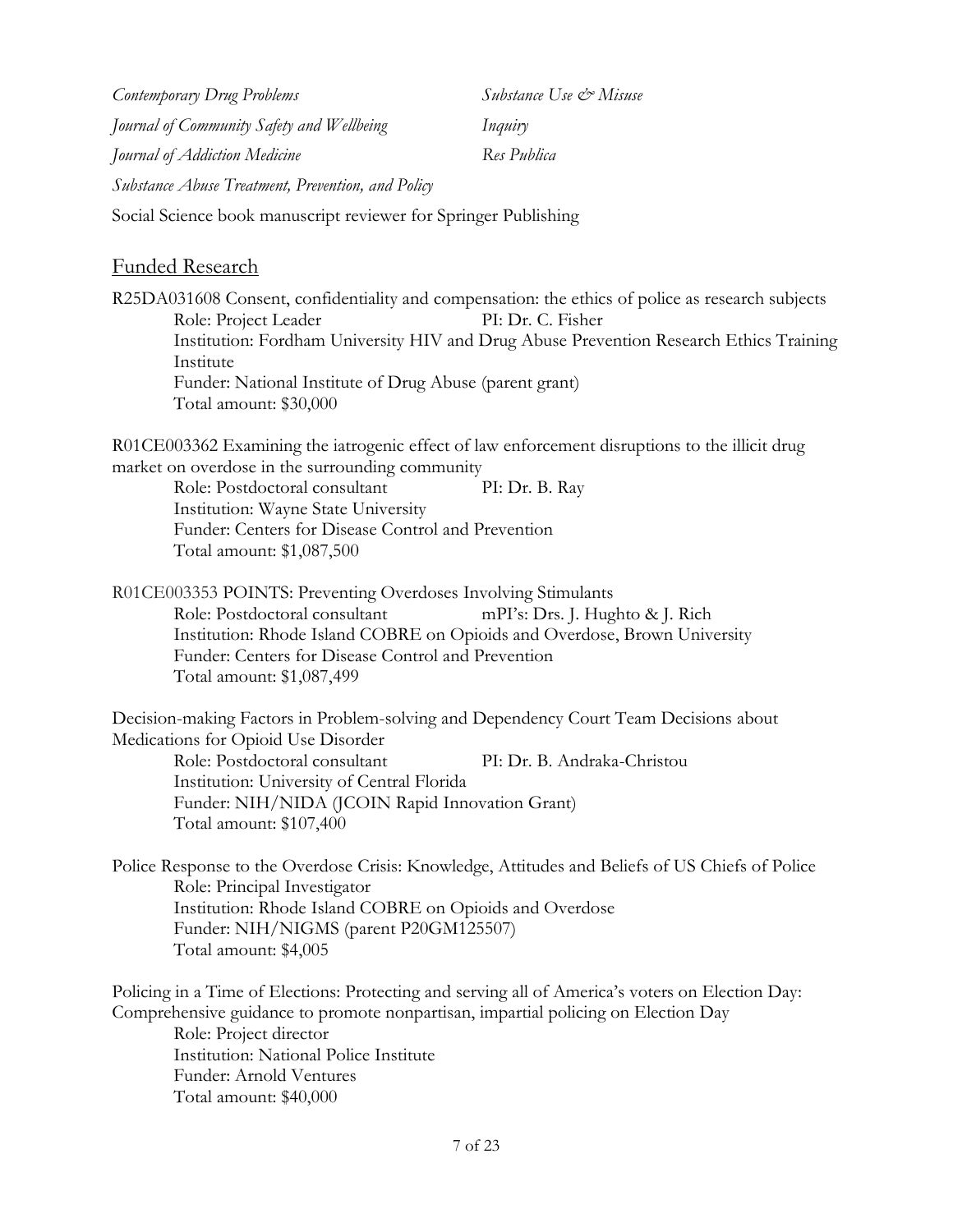*Contemporary Drug Problems Substance Use & Misuse Journal of Community Safety and Wellbeing Inquiry Journal of Addiction Medicine Res Publica Substance Abuse Treatment, Prevention, and Policy*

Social Science book manuscript reviewer for Springer Publishing

#### Funded Research

R25DA031608 Consent, confidentiality and compensation: the ethics of police as research subjects Role: Project Leader PI: Dr. C. Fisher Institution: Fordham University HIV and Drug Abuse Prevention Research Ethics Training Institute Funder: National Institute of Drug Abuse (parent grant) Total amount: \$30,000

R01CE003362 Examining the iatrogenic effect of law enforcement disruptions to the illicit drug market on overdose in the surrounding community

Role: Postdoctoral consultant PI: Dr. B. Ray Institution: Wayne State University Funder: Centers for Disease Control and Prevention Total amount: \$1,087,500

R01CE003353 POINTS: Preventing Overdoses Involving Stimulants Role: Postdoctoral consultant mPI's: Drs. J. Hughto & J. Rich Institution: Rhode Island COBRE on Opioids and Overdose, Brown University Funder: Centers for Disease Control and Prevention Total amount: \$1,087,499

Decision-making Factors in Problem-solving and Dependency Court Team Decisions about Medications for Opioid Use Disorder Role: Postdoctoral consultant PI: Dr. B. Andraka-Christou Institution: University of Central Florida Funder: NIH/NIDA (JCOIN Rapid Innovation Grant) Total amount: \$107,400

Police Response to the Overdose Crisis: Knowledge, Attitudes and Beliefs of US Chiefs of Police Role: Principal Investigator Institution: Rhode Island COBRE on Opioids and Overdose Funder: NIH/NIGMS (parent P20GM125507) Total amount: \$4,005

Policing in a Time of Elections: Protecting and serving all of America's voters on Election Day: Comprehensive guidance to promote nonpartisan, impartial policing on Election Day Role: Project director Institution: National Police Institute Funder: Arnold Ventures Total amount: \$40,000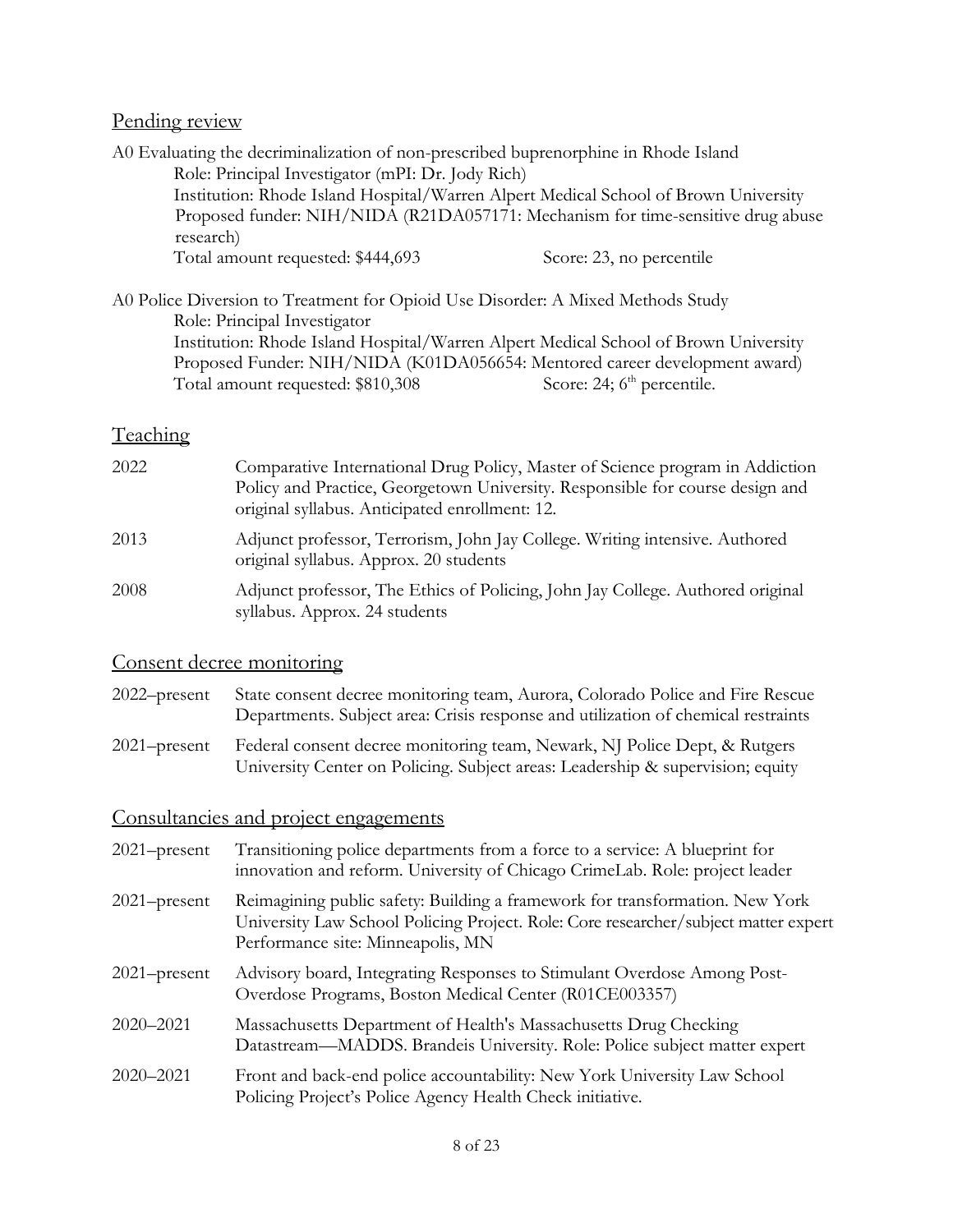### Pending review

| A0 Evaluating the decriminalization of non-prescribed buprenorphine in Rhode Island |                                                                                     |
|-------------------------------------------------------------------------------------|-------------------------------------------------------------------------------------|
| Role: Principal Investigator (mPI: Dr. Jody Rich)                                   |                                                                                     |
|                                                                                     | Institution: Rhode Island Hospital/Warren Alpert Medical School of Brown University |
| research)                                                                           | Proposed funder: NIH/NIDA (R21DA057171: Mechanism for time-sensitive drug abuse     |
| Total amount requested: \$444,693                                                   | Score: 23, no percentile                                                            |
| A0 Police Diversion to Treatment for Opioid Use Disorder: A Mixed Methods Study     |                                                                                     |
| Role: Principal Investigator                                                        |                                                                                     |
|                                                                                     | Institution: Rhode Island Hospital/Warren Alpert Medical School of Brown University |
|                                                                                     | Proposed Funder: NIH/NIDA (K01DA056654: Mentored career development award)          |
| Total amount requested: \$810,308                                                   | Score: 24; 6 <sup>th</sup> percentile.                                              |

## **Teaching**

| 2022 | Comparative International Drug Policy, Master of Science program in Addiction<br>Policy and Practice, Georgetown University. Responsible for course design and<br>original syllabus. Anticipated enrollment: 12. |
|------|------------------------------------------------------------------------------------------------------------------------------------------------------------------------------------------------------------------|
| 2013 | Adjunct professor, Terrorism, John Jay College. Writing intensive. Authored<br>original syllabus. Approx. 20 students                                                                                            |
| 2008 | Adjunct professor, The Ethics of Policing, John Jay College. Authored original<br>syllabus. Approx. 24 students                                                                                                  |

## Consent decree monitoring

| 2022–present | State consent decree monitoring team, Aurora, Colorado Police and Fire Rescue<br>Departments. Subject area: Crisis response and utilization of chemical restraints |
|--------------|--------------------------------------------------------------------------------------------------------------------------------------------------------------------|
| 2021–present | Federal consent decree monitoring team, Newark, NJ Police Dept, & Rutgers<br>University Center on Policing. Subject areas: Leadership & supervision; equity        |

# Consultancies and project engagements

| $2021$ -present | Transitioning police departments from a force to a service: A blueprint for<br>innovation and reform. University of Chicago CrimeLab. Role: project leader                                               |
|-----------------|----------------------------------------------------------------------------------------------------------------------------------------------------------------------------------------------------------|
| $2021$ -present | Reimagining public safety: Building a framework for transformation. New York<br>University Law School Policing Project. Role: Core researcher/subject matter expert<br>Performance site: Minneapolis, MN |
| $2021$ -present | Advisory board, Integrating Responses to Stimulant Overdose Among Post-<br>Overdose Programs, Boston Medical Center (R01CE003357)                                                                        |
| $2020 - 2021$   | Massachusetts Department of Health's Massachusetts Drug Checking<br>Datastream—MADDS. Brandeis University. Role: Police subject matter expert                                                            |
| 2020-2021       | Front and back-end police accountability: New York University Law School<br>Policing Project's Police Agency Health Check initiative.                                                                    |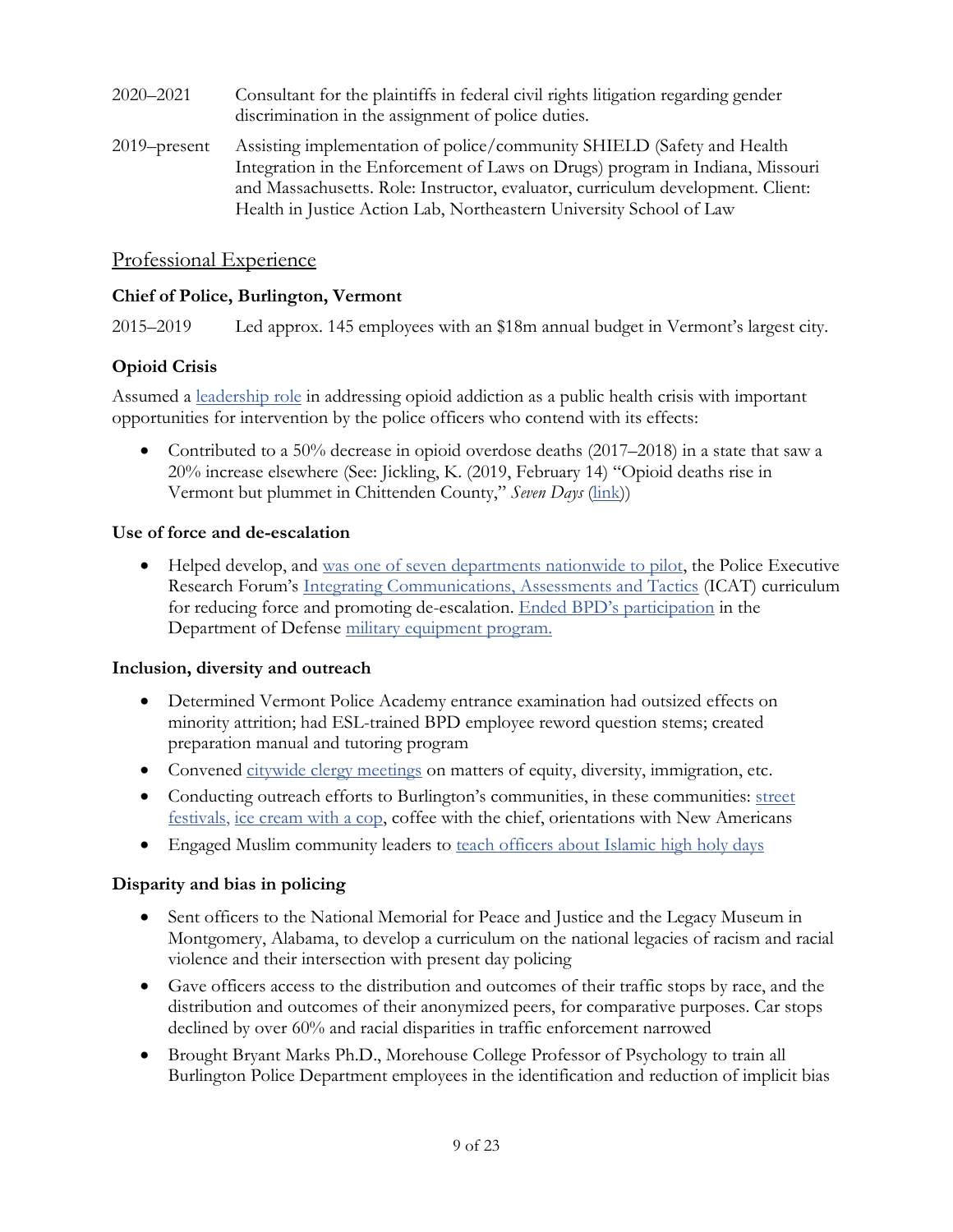- 2020–2021 Consultant for the plaintiffs in federal civil rights litigation regarding gender discrimination in the assignment of police duties.
- 2019–present Assisting implementation of police/community SHIELD (Safety and Health Integration in the Enforcement of Laws on Drugs) program in Indiana, Missouri and Massachusetts. Role: Instructor, evaluator, curriculum development. Client: Health in Justice Action Lab, Northeastern University School of Law

### Professional Experience

#### **Chief of Police, Burlington, Vermont**

2015–2019 Led approx. 145 employees with an \$18m annual budget in Vermont's largest city.

### **Opioid Crisis**

Assumed a [leadership role](https://www.nytimes.com/2017/06/12/nyregion/when-opioid-addicts-find-an-ally-in-blue.html) in addressing opioid addiction as a public health crisis with important opportunities for intervention by the police officers who contend with its effects:

• Contributed to a 50% decrease in opioid overdose deaths  $(2017–2018)$  in a state that saw a 20% increase elsewhere (See: Jickling, K. (2019, February 14) "Opioid deaths rise in Vermont but plummet in Chittenden County," *Seven Days* [\(link\)](https://m.sevendaysvt.com/OffMessage/archives/2019/02/14/opioid-deaths-rise-in-vermont-but-plummet-in-chittenden-county))

#### **Use of force and de-escalation**

• Helped develop, and [was one of seven departments nationwide to pilot,](https://www.burlingtonfreepress.com/story/news/local/2016/09/15/burlington-police-training-deescalation/90357496/) the Police Executive Research Forum's Integrating [Communications, Assessments and Tactics](https://www.policeforum.org/icat-training-guide) (ICAT) curriculum for reducing force and promoting de-escalation. [Ended](https://www.burlingtonvt.gov/Press/Burlington-Police-Department-Severs-Ties-with-Department-of-Defense) BPD's participation in the Department of Defense [military equipment program.](https://www.techdirt.com/articles/20151109/07172332762/police-department-says-it-would-rather-have-good-relationship-with-community-than-cheap-military-gear.shtml)

#### **Inclusion, diversity and outreach**

- Determined Vermont Police Academy entrance examination had outsized effects on minority attrition; had ESL-trained BPD employee reword question stems; created preparation manual and tutoring program
- Convened [citywide clergy meetings](https://www.sevendaysvt.com/OffMessage/archives/2016/07/29/burlington-cops-and-clergy-break-bread-and-talk-about-diversity) on matters of equity, diversity, immigration, etc.
- Conducting outreach efforts to Burlington's communities, in these communities: [street](https://www.wcax.com/content/news/Burlington-police-host-annual-community-barbecue-509607271.html)  [festivals,](https://www.wcax.com/content/news/Burlington-police-host-annual-community-barbecue-509607271.html) [ice cream with a cop,](https://twitter.com/OneNorthAvenue/status/911355316180267009) coffee with the chief, orientations with New Americans
- Engaged Muslim community leaders to [teach officers about Islamic high holy days](https://twitter.com/OneNorthAvenue/status/734718424341831680?s=19)

### **Disparity and bias in policing**

- Sent officers to the National Memorial for Peace and Justice and the Legacy Museum in Montgomery, Alabama, to develop a curriculum on the national legacies of racism and racial violence and their intersection with present day policing
- Gave officers access to the distribution and outcomes of their traffic stops by race, and the distribution and outcomes of their anonymized peers, for comparative purposes. Car stops declined by over 60% and racial disparities in traffic enforcement narrowed
- Brought Bryant Marks Ph.D., Morehouse College Professor of Psychology to train all Burlington Police Department employees in the identification and reduction of implicit bias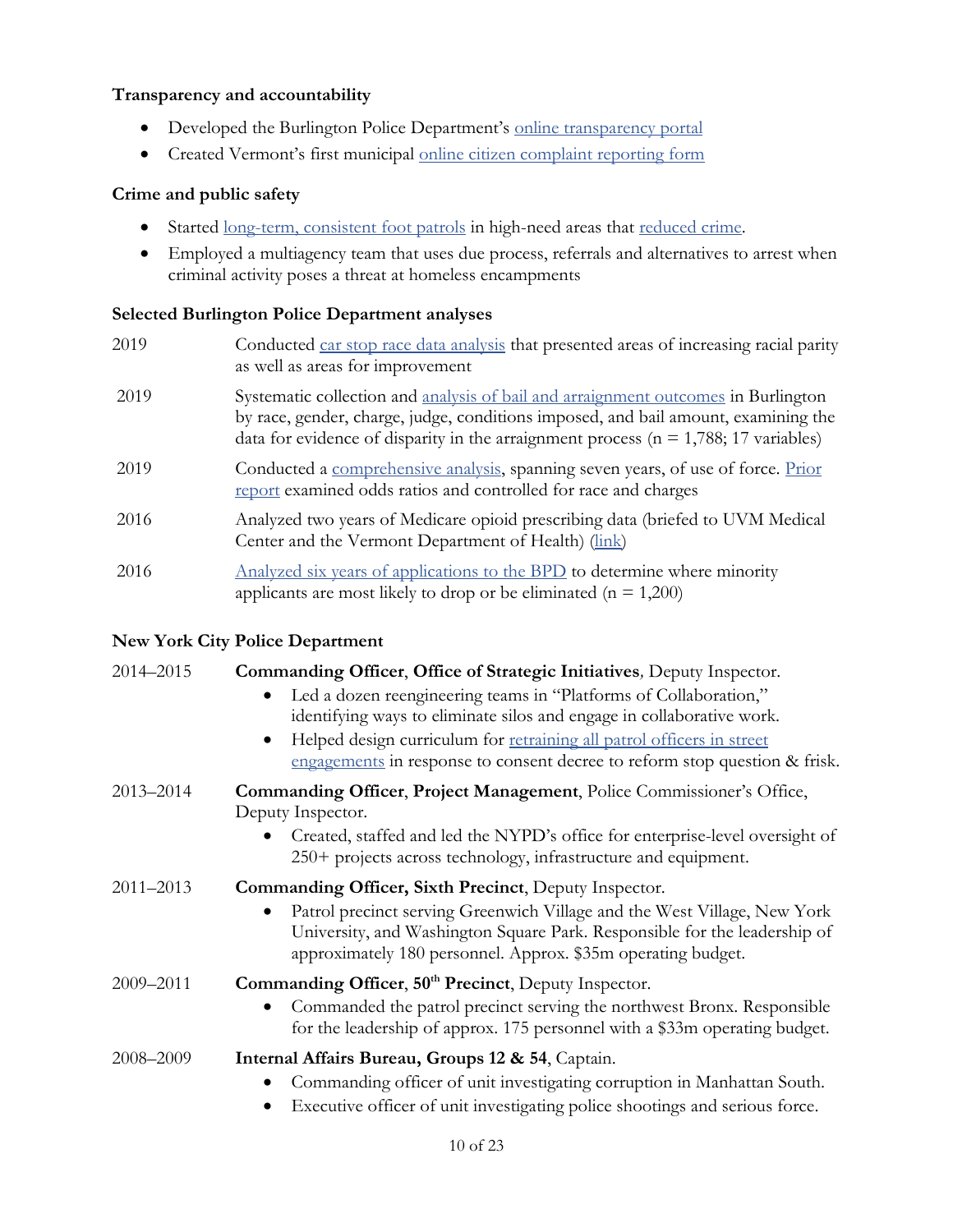#### **Transparency and accountability**

- Developed the Burlington Police Department's [online transparency portal](https://www.burlingtonvt.gov/Police/Data)
- Created Vermont's first municipal [online citizen complaint reporting form](https://www.burlingtonvt.gov/BPDComplaintSubmission)

#### **Crime and public safety**

- Started [long-term, consistent foot patrols](http://digital.vpr.net/post/burlington-police-ramp-foot-patrols-improve-relationship-community) in high-need areas that [reduced crime.](https://www.burlingtonfreepress.com/story/news/2017/05/05/despite-stabbing-church-street-sees-drop-crime-stats/100926544/)
- Employed a multiagency team that uses due process, referrals and alternatives to arrest when criminal activity poses a threat at homeless encampments

#### **Selected Burlington Police Department analyses**

| 2019 | Conducted car stop race data analysis that presented areas of increasing racial parity<br>as well as areas for improvement                                                                                                                                         |
|------|--------------------------------------------------------------------------------------------------------------------------------------------------------------------------------------------------------------------------------------------------------------------|
| 2019 | Systematic collection and analysis of bail and arraignment outcomes in Burlington<br>by race, gender, charge, judge, conditions imposed, and bail amount, examining the<br>data for evidence of disparity in the arraignment process ( $n = 1,788$ ; 17 variables) |
| 2019 | Conducted a comprehensive analysis, spanning seven years, of use of force. Prior<br>report examined odds ratios and controlled for race and charges                                                                                                                |
| 2016 | Analyzed two years of Medicare opioid prescribing data (briefed to UVM Medical<br>Center and the Vermont Department of Health) (link)                                                                                                                              |
| 2016 | Analyzed six years of applications to the BPD to determine where minority<br>applicants are most likely to drop or be eliminated ( $n = 1,200$ )                                                                                                                   |

#### **New York City Police Department**

| 2014-2015     | Commanding Officer, Office of Strategic Initiatives, Deputy Inspector.                                                                                                                                                                                                         |
|---------------|--------------------------------------------------------------------------------------------------------------------------------------------------------------------------------------------------------------------------------------------------------------------------------|
|               | Led a dozen reengineering teams in "Platforms of Collaboration,"<br>identifying ways to eliminate silos and engage in collaborative work.                                                                                                                                      |
|               | Helped design curriculum for retraining all patrol officers in street<br>$\bullet$                                                                                                                                                                                             |
|               | engagements in response to consent decree to reform stop question & frisk.                                                                                                                                                                                                     |
| 2013-2014     | Commanding Officer, Project Management, Police Commissioner's Office,<br>Deputy Inspector.                                                                                                                                                                                     |
|               | Created, staffed and led the NYPD's office for enterprise-level oversight of<br>250+ projects across technology, infrastructure and equipment.                                                                                                                                 |
| $2011 - 2013$ | Commanding Officer, Sixth Precinct, Deputy Inspector.<br>Patrol precinct serving Greenwich Village and the West Village, New York<br>University, and Washington Square Park. Responsible for the leadership of<br>approximately 180 personnel. Approx. \$35m operating budget. |
| 2009-2011     | Commanding Officer, 50 <sup>th</sup> Precinct, Deputy Inspector.<br>Commanded the patrol precinct serving the northwest Bronx. Responsible<br>for the leadership of approx. 175 personnel with a \$33m operating budget.                                                       |
| 2008-2009     | Internal Affairs Bureau, Groups 12 & 54, Captain.<br>Commanding officer of unit investigating corruption in Manhattan South.<br>Executive officer of unit investigating police shootings and serious force.                                                                    |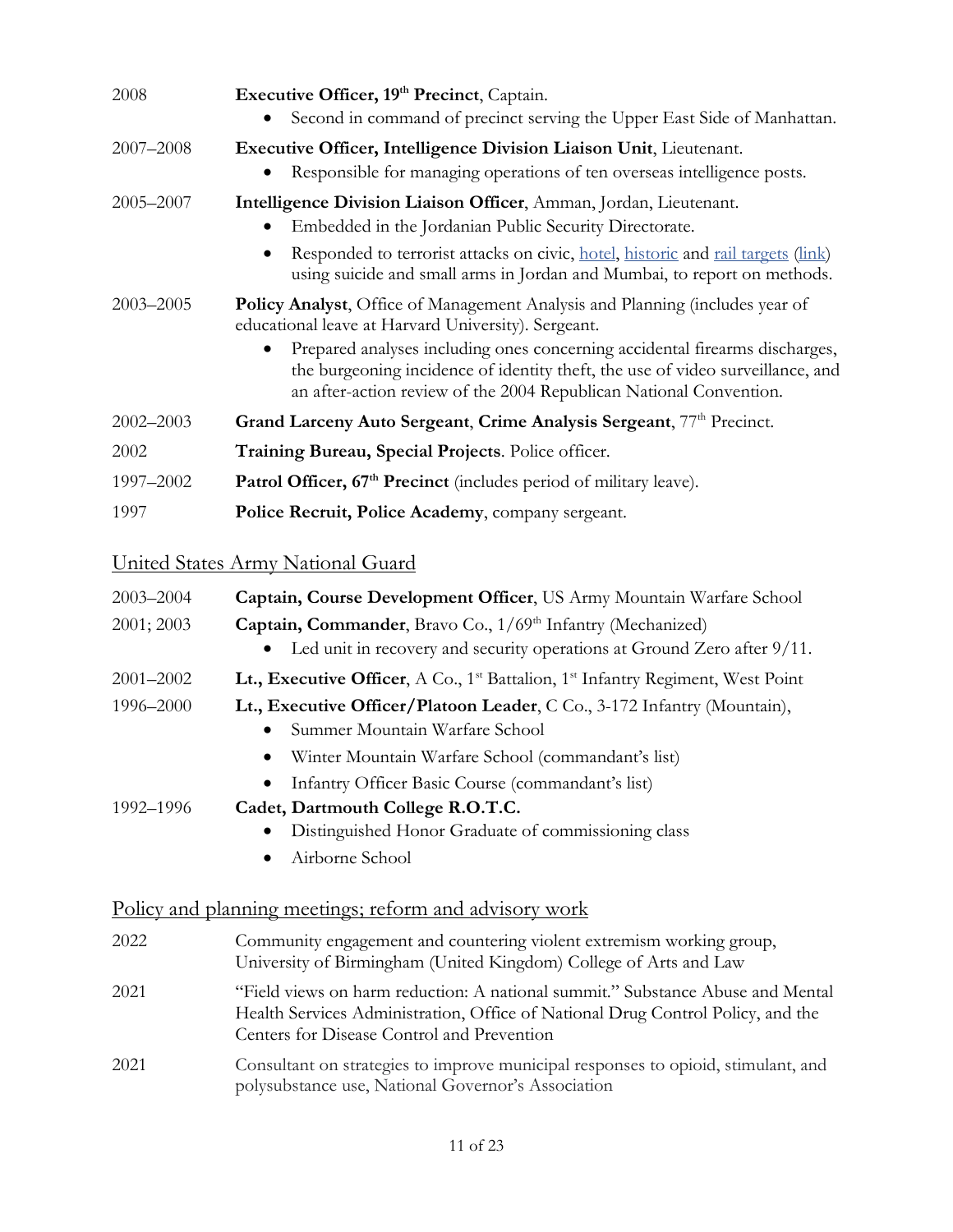| 2008          | Executive Officer, 19th Precinct, Captain.                                                                                                                                                                                                                                                                                                                                        |
|---------------|-----------------------------------------------------------------------------------------------------------------------------------------------------------------------------------------------------------------------------------------------------------------------------------------------------------------------------------------------------------------------------------|
|               | Second in command of precinct serving the Upper East Side of Manhattan.                                                                                                                                                                                                                                                                                                           |
| 2007-2008     | <b>Executive Officer, Intelligence Division Liaison Unit, Lieutenant.</b><br>Responsible for managing operations of ten overseas intelligence posts.                                                                                                                                                                                                                              |
| 2005-2007     | Intelligence Division Liaison Officer, Amman, Jordan, Lieutenant.<br>Embedded in the Jordanian Public Security Directorate.                                                                                                                                                                                                                                                       |
|               | Responded to terrorist attacks on civic, hotel, historic and rail targets (link)<br>$\bullet$<br>using suicide and small arms in Jordan and Mumbai, to report on methods.                                                                                                                                                                                                         |
| $2003 - 2005$ | <b>Policy Analyst,</b> Office of Management Analysis and Planning (includes year of<br>educational leave at Harvard University). Sergeant.<br>Prepared analyses including ones concerning accidental firearms discharges,<br>the burgeoning incidence of identity theft, the use of video surveillance, and<br>an after-action review of the 2004 Republican National Convention. |
| 2002-2003     | Grand Larceny Auto Sergeant, Crime Analysis Sergeant, 77 <sup>th</sup> Precinct.                                                                                                                                                                                                                                                                                                  |
| 2002          | Training Bureau, Special Projects. Police officer.                                                                                                                                                                                                                                                                                                                                |
| 1997-2002     | Patrol Officer, 67 <sup>th</sup> Precinct (includes period of military leave).                                                                                                                                                                                                                                                                                                    |
| 1997          | Police Recruit, Police Academy, company sergeant.                                                                                                                                                                                                                                                                                                                                 |

# United States Army National Guard

| 2003-2004  | Captain, Course Development Officer, US Army Mountain Warfare School                                                                                                                                            |
|------------|-----------------------------------------------------------------------------------------------------------------------------------------------------------------------------------------------------------------|
| 2001; 2003 | Captain, Commander, Bravo Co., 1/69th Infantry (Mechanized)<br>Led unit in recovery and security operations at Ground Zero after 9/11.                                                                          |
| 2001-2002  | <b>Lt., Executive Officer,</b> A Co., $1^{\text{st}}$ Battalion, $1^{\text{st}}$ Infantry Regiment, West Point                                                                                                  |
| 1996-2000  | Lt., Executive Officer/Platoon Leader, C Co., 3-172 Infantry (Mountain),<br>Summer Mountain Warfare School                                                                                                      |
|            | Winter Mountain Warfare School (commandant's list)<br>$\bullet$                                                                                                                                                 |
|            | Infantry Officer Basic Course (commandant's list)                                                                                                                                                               |
| 1992–1996  | Cadet, Dartmouth College R.O.T.C.                                                                                                                                                                               |
|            | Distinguished Honor Graduate of commissioning class                                                                                                                                                             |
|            | Airborne School                                                                                                                                                                                                 |
|            | Policy and planning meetings; reform and advisory work                                                                                                                                                          |
| 2022       | Community engagement and countering violent extremism working group,<br>University of Birmingham (United Kingdom) College of Arts and Law                                                                       |
| 2021       | "Field views on harm reduction: A national summit." Substance Abuse and Mental<br>Health Services Administration, Office of National Drug Control Policy, and the<br>Centers for Disease Control and Prevention |

2021 Consultant on strategies to improve municipal responses to opioid, stimulant, and polysubstance use, National Governor's Association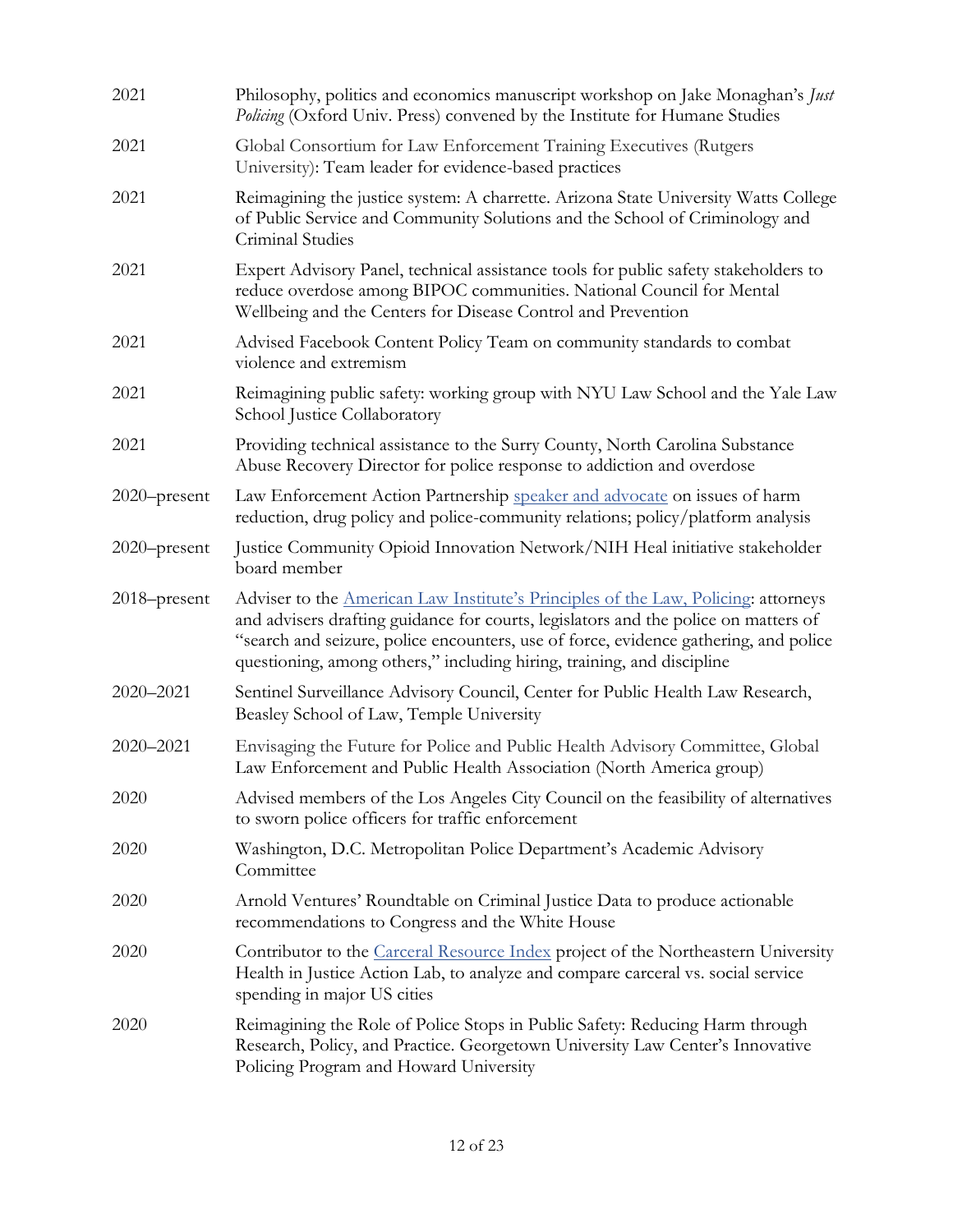| 2021         | Philosophy, politics and economics manuscript workshop on Jake Monaghan's Just<br>Policing (Oxford Univ. Press) convened by the Institute for Humane Studies                                                                                                                                                                                |
|--------------|---------------------------------------------------------------------------------------------------------------------------------------------------------------------------------------------------------------------------------------------------------------------------------------------------------------------------------------------|
| 2021         | Global Consortium for Law Enforcement Training Executives (Rutgers<br>University): Team leader for evidence-based practices                                                                                                                                                                                                                 |
| 2021         | Reimagining the justice system: A charrette. Arizona State University Watts College<br>of Public Service and Community Solutions and the School of Criminology and<br>Criminal Studies                                                                                                                                                      |
| 2021         | Expert Advisory Panel, technical assistance tools for public safety stakeholders to<br>reduce overdose among BIPOC communities. National Council for Mental<br>Wellbeing and the Centers for Disease Control and Prevention                                                                                                                 |
| 2021         | Advised Facebook Content Policy Team on community standards to combat<br>violence and extremism                                                                                                                                                                                                                                             |
| 2021         | Reimagining public safety: working group with NYU Law School and the Yale Law<br>School Justice Collaboratory                                                                                                                                                                                                                               |
| 2021         | Providing technical assistance to the Surry County, North Carolina Substance<br>Abuse Recovery Director for police response to addiction and overdose                                                                                                                                                                                       |
| 2020-present | Law Enforcement Action Partnership speaker and advocate on issues of harm<br>reduction, drug policy and police-community relations; policy/platform analysis                                                                                                                                                                                |
| 2020-present | Justice Community Opioid Innovation Network/NIH Heal initiative stakeholder<br>board member                                                                                                                                                                                                                                                 |
| 2018–present | Adviser to the American Law Institute's Principles of the Law, Policing: attorneys<br>and advisers drafting guidance for courts, legislators and the police on matters of<br>"search and seizure, police encounters, use of force, evidence gathering, and police<br>questioning, among others," including hiring, training, and discipline |
| 2020-2021    | Sentinel Surveillance Advisory Council, Center for Public Health Law Research,<br>Beasley School of Law, Temple University                                                                                                                                                                                                                  |
| 2020-2021    | Envisaging the Future for Police and Public Health Advisory Committee, Global<br>Law Enforcement and Public Health Association (North America group)                                                                                                                                                                                        |
| 2020         | Advised members of the Los Angeles City Council on the feasibility of alternatives<br>to sworn police officers for traffic enforcement                                                                                                                                                                                                      |
| 2020         | Washington, D.C. Metropolitan Police Department's Academic Advisory<br>Committee                                                                                                                                                                                                                                                            |
| 2020         | Arnold Ventures' Roundtable on Criminal Justice Data to produce actionable<br>recommendations to Congress and the White House                                                                                                                                                                                                               |
| 2020         | Contributor to the Carceral Resource Index project of the Northeastern University<br>Health in Justice Action Lab, to analyze and compare carceral vs. social service<br>spending in major US cities                                                                                                                                        |
| 2020         | Reimagining the Role of Police Stops in Public Safety: Reducing Harm through<br>Research, Policy, and Practice. Georgetown University Law Center's Innovative<br>Policing Program and Howard University                                                                                                                                     |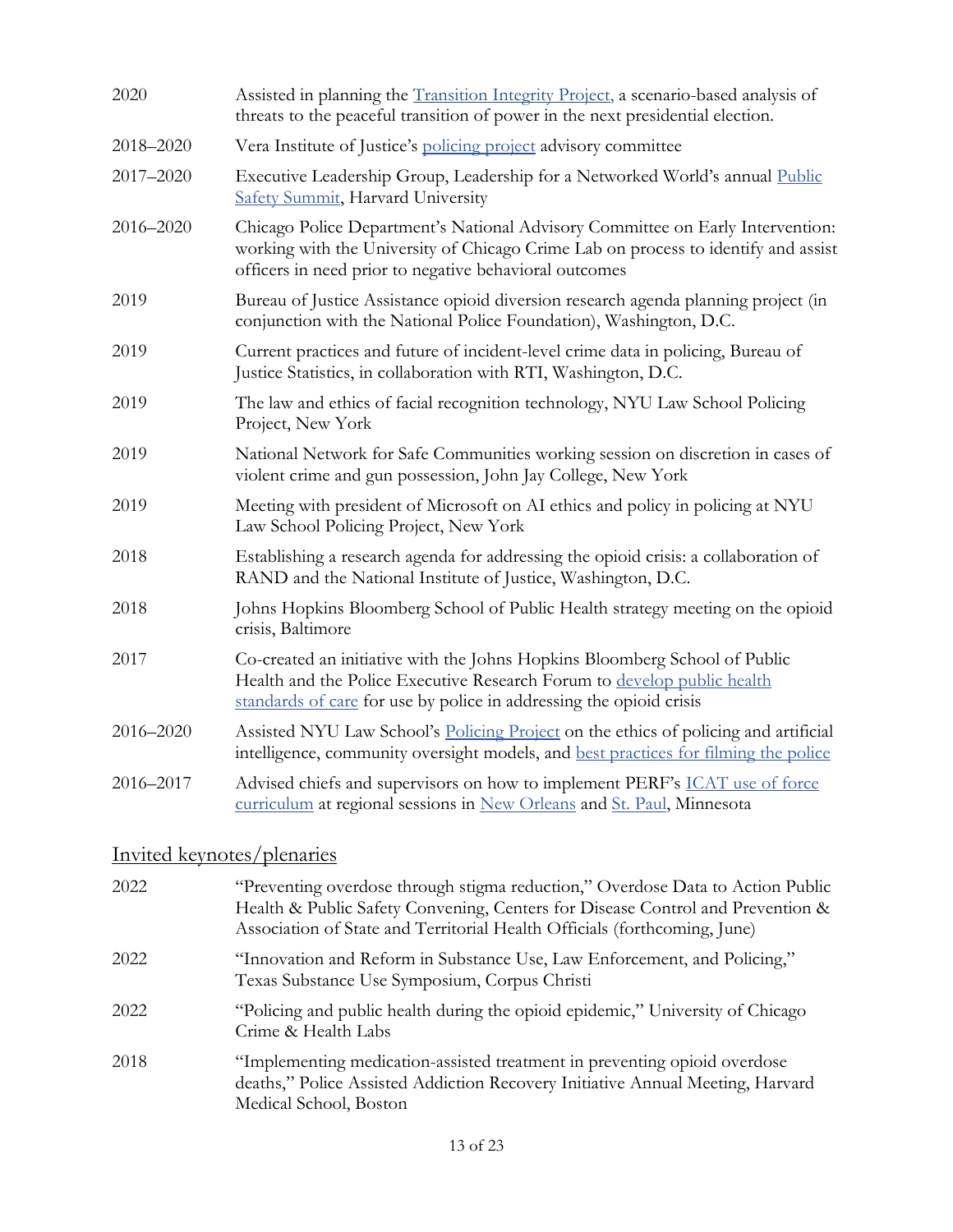| 2020      | Assisted in planning the <i>Transition Integrity Project</i> , a scenario-based analysis of<br>threats to the peaceful transition of power in the next presidential election.                                                  |
|-----------|--------------------------------------------------------------------------------------------------------------------------------------------------------------------------------------------------------------------------------|
| 2018-2020 | Vera Institute of Justice's policing project advisory committee                                                                                                                                                                |
| 2017-2020 | Executive Leadership Group, Leadership for a Networked World's annual Public<br><b>Safety Summit</b> , Harvard University                                                                                                      |
| 2016-2020 | Chicago Police Department's National Advisory Committee on Early Intervention:<br>working with the University of Chicago Crime Lab on process to identify and assist<br>officers in need prior to negative behavioral outcomes |
| 2019      | Bureau of Justice Assistance opioid diversion research agenda planning project (in<br>conjunction with the National Police Foundation), Washington, D.C.                                                                       |
| 2019      | Current practices and future of incident-level crime data in policing, Bureau of<br>Justice Statistics, in collaboration with RTI, Washington, D.C.                                                                            |
| 2019      | The law and ethics of facial recognition technology, NYU Law School Policing<br>Project, New York                                                                                                                              |
| 2019      | National Network for Safe Communities working session on discretion in cases of<br>violent crime and gun possession, John Jay College, New York                                                                                |
| 2019      | Meeting with president of Microsoft on AI ethics and policy in policing at NYU<br>Law School Policing Project, New York                                                                                                        |
| 2018      | Establishing a research agenda for addressing the opioid crisis: a collaboration of<br>RAND and the National Institute of Justice, Washington, D.C.                                                                            |
| 2018      | Johns Hopkins Bloomberg School of Public Health strategy meeting on the opioid<br>crisis, Baltimore                                                                                                                            |
| 2017      | Co-created an initiative with the Johns Hopkins Bloomberg School of Public<br>Health and the Police Executive Research Forum to develop public health<br>standards of care for use by police in addressing the opioid crisis   |
| 2016-2020 | Assisted NYU Law School's Policing Project on the ethics of policing and artificial<br>intelligence, community oversight models, and best practices for filming the police                                                     |
| 2016-2017 | Advised chiefs and supervisors on how to implement PERF's ICAT use of force<br>curriculum at regional sessions in New Orleans and St. Paul, Minnesota                                                                          |

# Invited keynotes/plenaries

| 2022 | "Preventing overdose through stigma reduction," Overdose Data to Action Public<br>Health & Public Safety Convening, Centers for Disease Control and Prevention &<br>Association of State and Territorial Health Officials (forthcoming, June) |
|------|-----------------------------------------------------------------------------------------------------------------------------------------------------------------------------------------------------------------------------------------------|
| 2022 | "Innovation and Reform in Substance Use, Law Enforcement, and Policing,"<br>Texas Substance Use Symposium, Corpus Christi                                                                                                                     |
| 2022 | "Policing and public health during the opioid epidemic," University of Chicago<br>Crime & Health Labs                                                                                                                                         |
| 2018 | "Implementing medication-assisted treatment in preventing opioid overdose<br>deaths," Police Assisted Addiction Recovery Initiative Annual Meeting, Harvard<br>Medical School, Boston                                                         |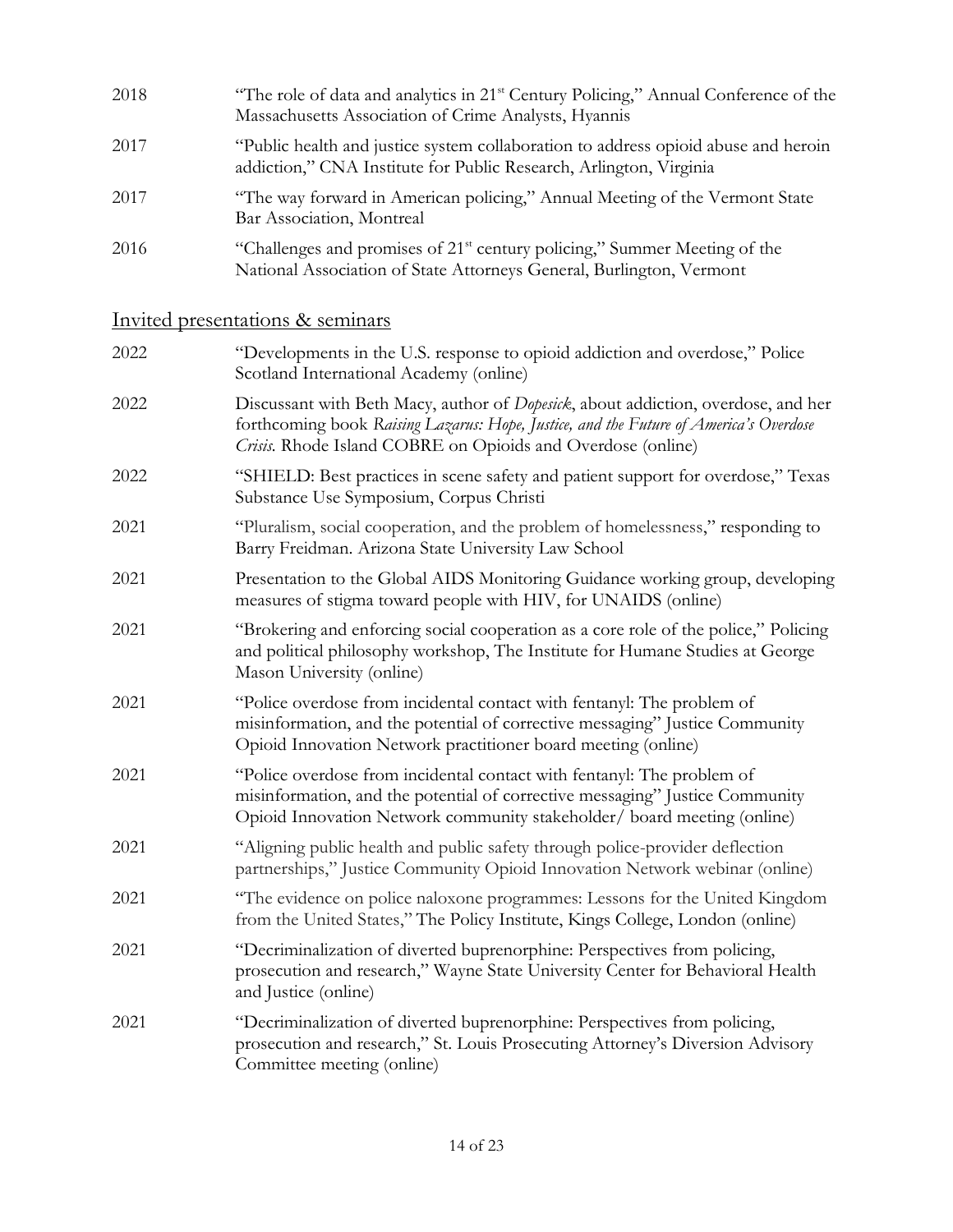| 2018 | "The role of data and analytics in 21 <sup>st</sup> Century Policing," Annual Conference of the<br>Massachusetts Association of Crime Analysts, Hyannis       |
|------|---------------------------------------------------------------------------------------------------------------------------------------------------------------|
| 2017 | "Public health and justice system collaboration to address opioid abuse and heroin<br>addiction," CNA Institute for Public Research, Arlington, Virginia      |
| 2017 | "The way forward in American policing," Annual Meeting of the Vermont State<br>Bar Association, Montreal                                                      |
| 2016 | "Challenges and promises of 21 <sup>st</sup> century policing," Summer Meeting of the<br>National Association of State Attorneys General, Burlington, Vermont |

# Invited presentations & seminars

| 2022 | "Developments in the U.S. response to opioid addiction and overdose," Police<br>Scotland International Academy (online)                                                                                                                   |
|------|-------------------------------------------------------------------------------------------------------------------------------------------------------------------------------------------------------------------------------------------|
| 2022 | Discussant with Beth Macy, author of Dopesick, about addiction, overdose, and her<br>forthcoming book Raising Lazarus: Hope, Justice, and the Future of America's Overdose<br>Crisis. Rhode Island COBRE on Opioids and Overdose (online) |
| 2022 | "SHIELD: Best practices in scene safety and patient support for overdose," Texas<br>Substance Use Symposium, Corpus Christi                                                                                                               |
| 2021 | "Pluralism, social cooperation, and the problem of homelessness," responding to<br>Barry Freidman. Arizona State University Law School                                                                                                    |
| 2021 | Presentation to the Global AIDS Monitoring Guidance working group, developing<br>measures of stigma toward people with HIV, for UNAIDS (online)                                                                                           |
| 2021 | "Brokering and enforcing social cooperation as a core role of the police," Policing<br>and political philosophy workshop, The Institute for Humane Studies at George<br>Mason University (online)                                         |
| 2021 | "Police overdose from incidental contact with fentanyl: The problem of<br>misinformation, and the potential of corrective messaging" Justice Community<br>Opioid Innovation Network practitioner board meeting (online)                   |
| 2021 | "Police overdose from incidental contact with fentanyl: The problem of<br>misinformation, and the potential of corrective messaging" Justice Community<br>Opioid Innovation Network community stakeholder/board meeting (online)          |
| 2021 | "Aligning public health and public safety through police-provider deflection<br>partnerships," Justice Community Opioid Innovation Network webinar (online)                                                                               |
| 2021 | "The evidence on police naloxone programmes: Lessons for the United Kingdom<br>from the United States," The Policy Institute, Kings College, London (online)                                                                              |
| 2021 | "Decriminalization of diverted buprenorphine: Perspectives from policing,<br>prosecution and research," Wayne State University Center for Behavioral Health<br>and Justice (online)                                                       |
| 2021 | "Decriminalization of diverted buprenorphine: Perspectives from policing,<br>prosecution and research," St. Louis Prosecuting Attorney's Diversion Advisory<br>Committee meeting (online)                                                 |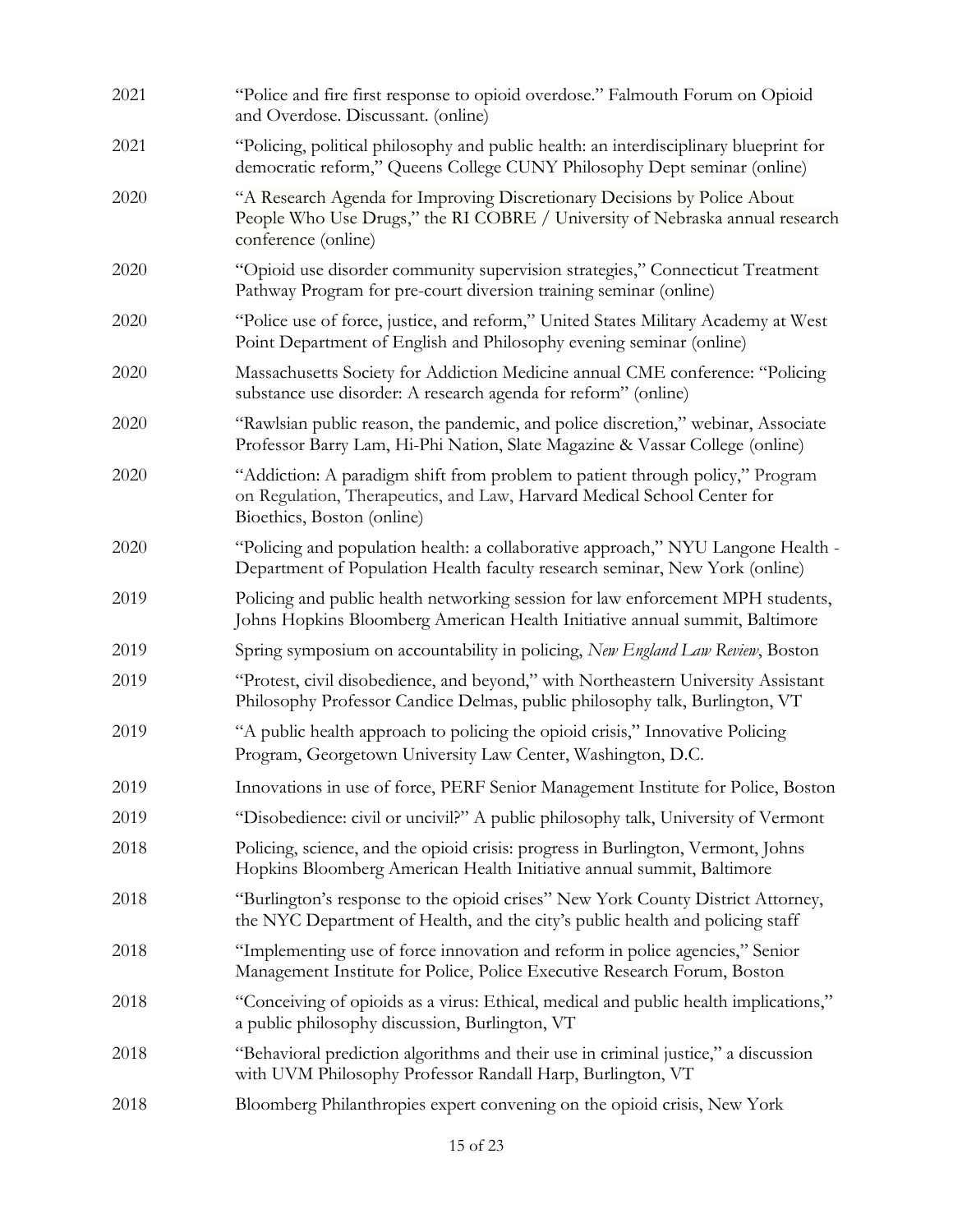| 2021 | "Police and fire first response to opioid overdose." Falmouth Forum on Opioid<br>and Overdose. Discussant. (online)                                                                    |
|------|----------------------------------------------------------------------------------------------------------------------------------------------------------------------------------------|
| 2021 | "Policing, political philosophy and public health: an interdisciplinary blueprint for<br>democratic reform," Queens College CUNY Philosophy Dept seminar (online)                      |
| 2020 | "A Research Agenda for Improving Discretionary Decisions by Police About<br>People Who Use Drugs," the RI COBRE / University of Nebraska annual research<br>conference (online)        |
| 2020 | "Opioid use disorder community supervision strategies," Connecticut Treatment<br>Pathway Program for pre-court diversion training seminar (online)                                     |
| 2020 | "Police use of force, justice, and reform," United States Military Academy at West<br>Point Department of English and Philosophy evening seminar (online)                              |
| 2020 | Massachusetts Society for Addiction Medicine annual CME conference: "Policing<br>substance use disorder: A research agenda for reform" (online)                                        |
| 2020 | "Rawlsian public reason, the pandemic, and police discretion," webinar, Associate<br>Professor Barry Lam, Hi-Phi Nation, Slate Magazine & Vassar College (online)                      |
| 2020 | "Addiction: A paradigm shift from problem to patient through policy," Program<br>on Regulation, Therapeutics, and Law, Harvard Medical School Center for<br>Bioethics, Boston (online) |
| 2020 | "Policing and population health: a collaborative approach," NYU Langone Health -<br>Department of Population Health faculty research seminar, New York (online)                        |
| 2019 | Policing and public health networking session for law enforcement MPH students,<br>Johns Hopkins Bloomberg American Health Initiative annual summit, Baltimore                         |
| 2019 | Spring symposium on accountability in policing, New England Law Review, Boston                                                                                                         |
| 2019 | "Protest, civil disobedience, and beyond," with Northeastern University Assistant<br>Philosophy Professor Candice Delmas, public philosophy talk, Burlington, VT                       |
| 2019 | "A public health approach to policing the opioid crisis," Innovative Policing<br>Program, Georgetown University Law Center, Washington, D.C.                                           |
| 2019 | Innovations in use of force, PERF Senior Management Institute for Police, Boston                                                                                                       |
| 2019 | "Disobedience: civil or uncivil?" A public philosophy talk, University of Vermont                                                                                                      |
| 2018 | Policing, science, and the opioid crisis: progress in Burlington, Vermont, Johns<br>Hopkins Bloomberg American Health Initiative annual summit, Baltimore                              |
| 2018 | "Burlington's response to the opioid crises" New York County District Attorney,<br>the NYC Department of Health, and the city's public health and policing staff                       |
| 2018 | "Implementing use of force innovation and reform in police agencies," Senior<br>Management Institute for Police, Police Executive Research Forum, Boston                               |
| 2018 | "Conceiving of opioids as a virus: Ethical, medical and public health implications,"<br>a public philosophy discussion, Burlington, VT                                                 |
| 2018 | "Behavioral prediction algorithms and their use in criminal justice," a discussion<br>with UVM Philosophy Professor Randall Harp, Burlington, VT                                       |
| 2018 | Bloomberg Philanthropies expert convening on the opioid crisis, New York                                                                                                               |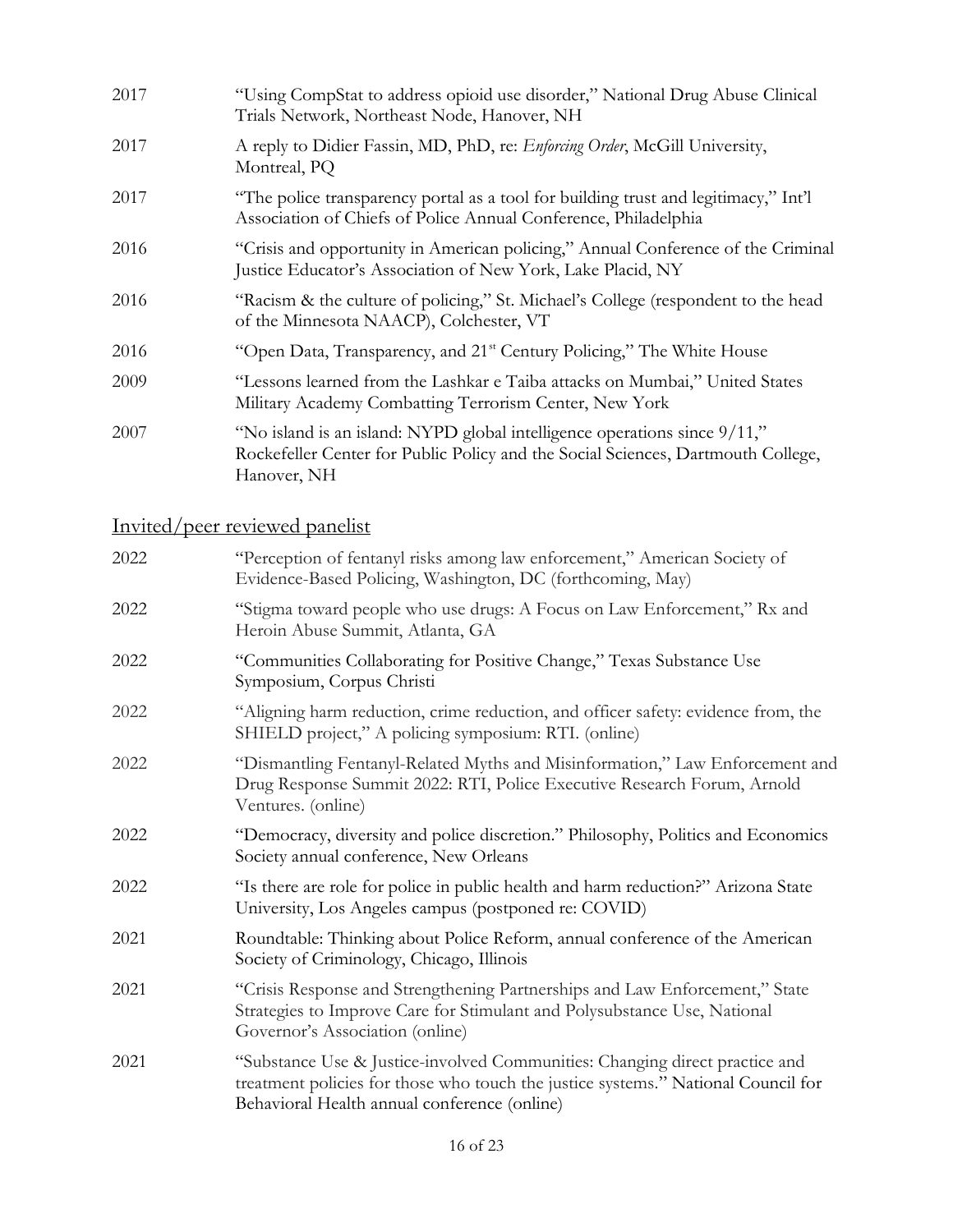| 2017 | "Using CompStat to address opioid use disorder," National Drug Abuse Clinical<br>Trials Network, Northeast Node, Hanover, NH                                                 |
|------|------------------------------------------------------------------------------------------------------------------------------------------------------------------------------|
| 2017 | A reply to Didier Fassin, MD, PhD, re: Enforcing Order, McGill University,<br>Montreal, PQ                                                                                   |
| 2017 | "The police transparency portal as a tool for building trust and legitimacy," Int'l<br>Association of Chiefs of Police Annual Conference, Philadelphia                       |
| 2016 | "Crisis and opportunity in American policing," Annual Conference of the Criminal<br>Justice Educator's Association of New York, Lake Placid, NY                              |
| 2016 | "Racism & the culture of policing," St. Michael's College (respondent to the head<br>of the Minnesota NAACP), Colchester, VT                                                 |
| 2016 | "Open Data, Transparency, and 21 <sup>st</sup> Century Policing," The White House                                                                                            |
| 2009 | "Lessons learned from the Lashkar e Taiba attacks on Mumbai," United States<br>Military Academy Combatting Terrorism Center, New York                                        |
| 2007 | "No island is an island: NYPD global intelligence operations since 9/11,"<br>Rockefeller Center for Public Policy and the Social Sciences, Dartmouth College,<br>Hanover, NH |

# Invited/peer reviewed panelist

| 2022 | "Perception of fentanyl risks among law enforcement," American Society of<br>Evidence-Based Policing, Washington, DC (forthcoming, May)                                                                          |
|------|------------------------------------------------------------------------------------------------------------------------------------------------------------------------------------------------------------------|
| 2022 | "Stigma toward people who use drugs: A Focus on Law Enforcement," Rx and<br>Heroin Abuse Summit, Atlanta, GA                                                                                                     |
| 2022 | "Communities Collaborating for Positive Change," Texas Substance Use<br>Symposium, Corpus Christi                                                                                                                |
| 2022 | "Aligning harm reduction, crime reduction, and officer safety: evidence from, the<br>SHIELD project," A policing symposium: RTI. (online)                                                                        |
| 2022 | "Dismantling Fentanyl-Related Myths and Misinformation," Law Enforcement and<br>Drug Response Summit 2022: RTI, Police Executive Research Forum, Arnold<br>Ventures. (online)                                    |
| 2022 | "Democracy, diversity and police discretion." Philosophy, Politics and Economics<br>Society annual conference, New Orleans                                                                                       |
| 2022 | "Is there are role for police in public health and harm reduction?" Arizona State<br>University, Los Angeles campus (postponed re: COVID)                                                                        |
| 2021 | Roundtable: Thinking about Police Reform, annual conference of the American<br>Society of Criminology, Chicago, Illinois                                                                                         |
| 2021 | "Crisis Response and Strengthening Partnerships and Law Enforcement," State<br>Strategies to Improve Care for Stimulant and Polysubstance Use, National<br>Governor's Association (online)                       |
| 2021 | "Substance Use & Justice-involved Communities: Changing direct practice and<br>treatment policies for those who touch the justice systems." National Council for<br>Behavioral Health annual conference (online) |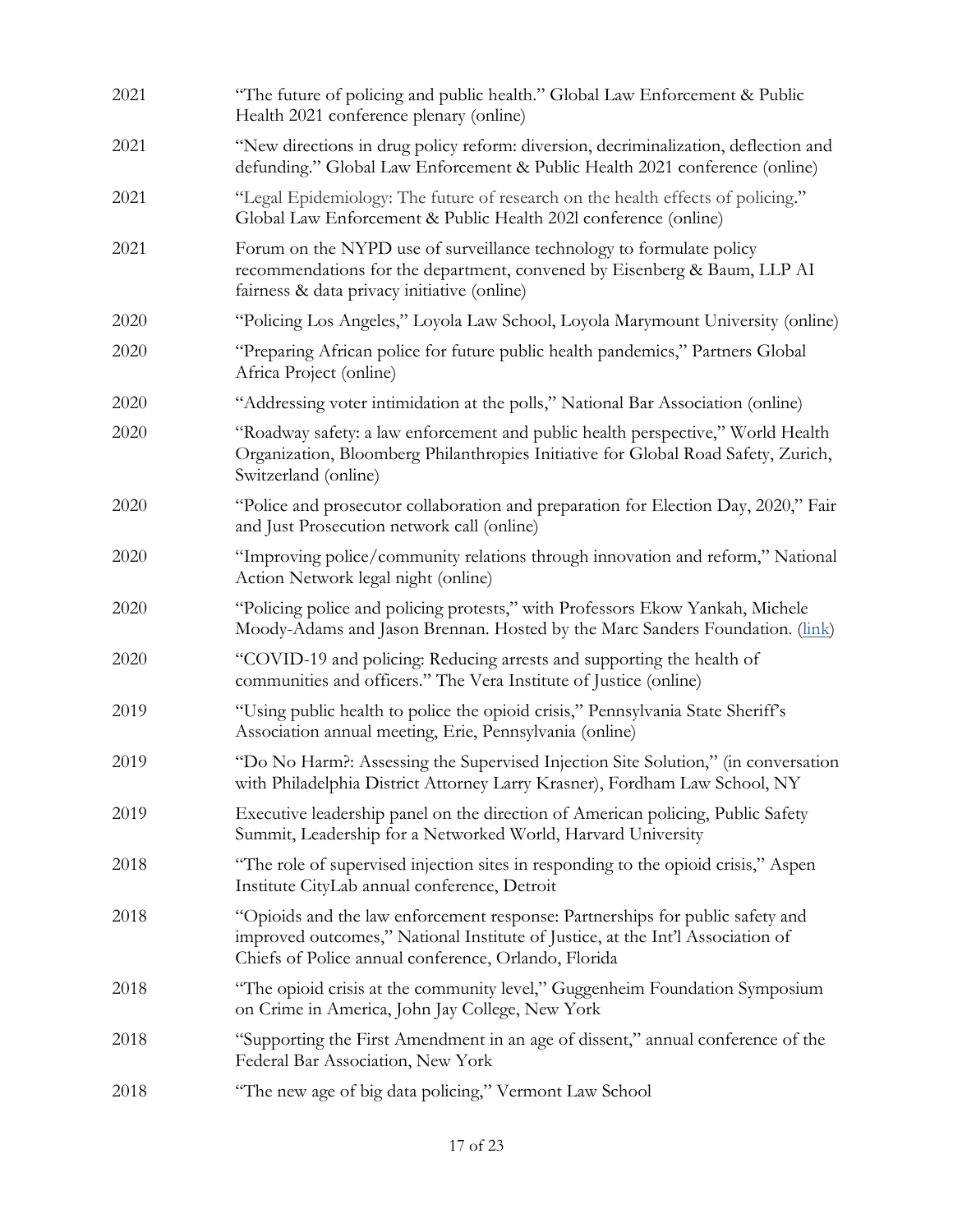| 2021 | "The future of policing and public health." Global Law Enforcement & Public<br>Health 2021 conference plenary (online)                                                                                                  |
|------|-------------------------------------------------------------------------------------------------------------------------------------------------------------------------------------------------------------------------|
| 2021 | "New directions in drug policy reform: diversion, decriminalization, deflection and<br>defunding." Global Law Enforcement & Public Health 2021 conference (online)                                                      |
| 2021 | "Legal Epidemiology: The future of research on the health effects of policing."<br>Global Law Enforcement & Public Health 2021 conference (online)                                                                      |
| 2021 | Forum on the NYPD use of surveillance technology to formulate policy<br>recommendations for the department, convened by Eisenberg & Baum, LLP AI<br>fairness & data privacy initiative (online)                         |
| 2020 | "Policing Los Angeles," Loyola Law School, Loyola Marymount University (online)                                                                                                                                         |
| 2020 | "Preparing African police for future public health pandemics," Partners Global<br>Africa Project (online)                                                                                                               |
| 2020 | "Addressing voter intimidation at the polls," National Bar Association (online)                                                                                                                                         |
| 2020 | "Roadway safety: a law enforcement and public health perspective," World Health<br>Organization, Bloomberg Philanthropies Initiative for Global Road Safety, Zurich,<br>Switzerland (online)                            |
| 2020 | "Police and prosecutor collaboration and preparation for Election Day, 2020," Fair<br>and Just Prosecution network call (online)                                                                                        |
| 2020 | "Improving police/community relations through innovation and reform," National<br>Action Network legal night (online)                                                                                                   |
| 2020 | "Policing police and policing protests," with Professors Ekow Yankah, Michele<br>Moody-Adams and Jason Brennan. Hosted by the Marc Sanders Foundation. (link)                                                           |
| 2020 | "COVID-19 and policing: Reducing arrests and supporting the health of<br>communities and officers." The Vera Institute of Justice (online)                                                                              |
| 2019 | "Using public health to police the opioid crisis," Pennsylvania State Sheriff's<br>Association annual meeting, Erie, Pennsylvania (online)                                                                              |
| 2019 | "Do No Harm?: Assessing the Supervised Injection Site Solution," (in conversation<br>with Philadelphia District Attorney Larry Krasner), Fordham Law School, NY                                                         |
| 2019 | Executive leadership panel on the direction of American policing, Public Safety<br>Summit, Leadership for a Networked World, Harvard University                                                                         |
| 2018 | "The role of supervised injection sites in responding to the opioid crisis," Aspen<br>Institute CityLab annual conference, Detroit                                                                                      |
| 2018 | "Opioids and the law enforcement response: Partnerships for public safety and<br>improved outcomes," National Institute of Justice, at the Int'l Association of<br>Chiefs of Police annual conference, Orlando, Florida |
| 2018 | "The opioid crisis at the community level," Guggenheim Foundation Symposium<br>on Crime in America, John Jay College, New York                                                                                          |
| 2018 | "Supporting the First Amendment in an age of dissent," annual conference of the<br>Federal Bar Association, New York                                                                                                    |
| 2018 | "The new age of big data policing," Vermont Law School                                                                                                                                                                  |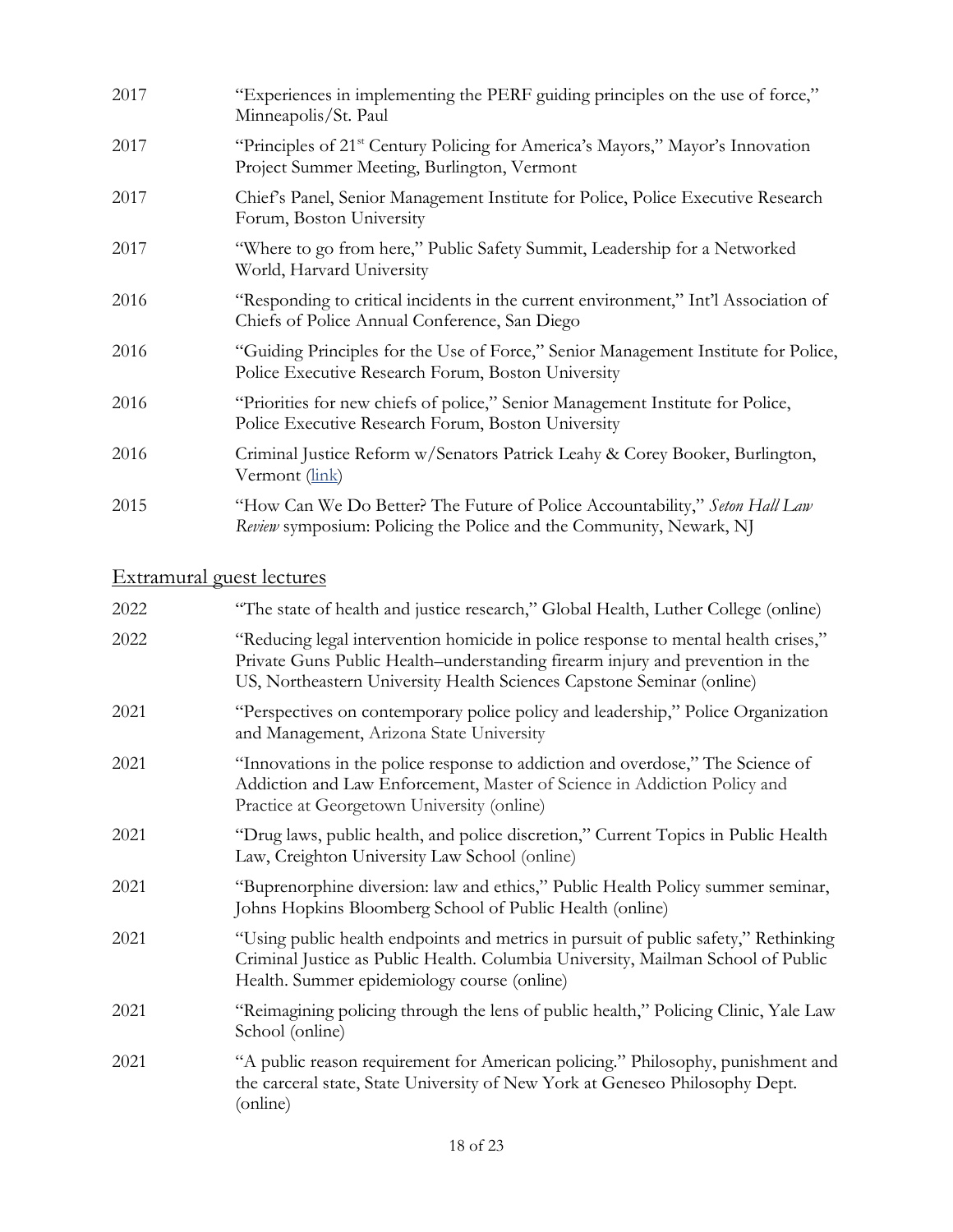| 2017 | "Experiences in implementing the PERF guiding principles on the use of force,"<br>Minneapolis/St. Paul                                             |
|------|----------------------------------------------------------------------------------------------------------------------------------------------------|
| 2017 | "Principles of 21 <sup>st</sup> Century Policing for America's Mayors," Mayor's Innovation<br>Project Summer Meeting, Burlington, Vermont          |
| 2017 | Chief's Panel, Senior Management Institute for Police, Police Executive Research<br>Forum, Boston University                                       |
| 2017 | "Where to go from here," Public Safety Summit, Leadership for a Networked<br>World, Harvard University                                             |
| 2016 | "Responding to critical incidents in the current environment," Int'l Association of<br>Chiefs of Police Annual Conference, San Diego               |
| 2016 | "Guiding Principles for the Use of Force," Senior Management Institute for Police,<br>Police Executive Research Forum, Boston University           |
| 2016 | "Priorities for new chiefs of police," Senior Management Institute for Police,<br>Police Executive Research Forum, Boston University               |
| 2016 | Criminal Justice Reform w/Senators Patrick Leahy & Corey Booker, Burlington,<br>Vermont (link)                                                     |
| 2015 | "How Can We Do Better? The Future of Police Accountability," Seton Hall Law<br>Review symposium: Policing the Police and the Community, Newark, NJ |

# Extramural guest lectures

| "The state of health and justice research," Global Health, Luther College (online)                                                                                                                                                           |
|----------------------------------------------------------------------------------------------------------------------------------------------------------------------------------------------------------------------------------------------|
| "Reducing legal intervention homicide in police response to mental health crises,"<br>Private Guns Public Health-understanding firearm injury and prevention in the<br>US, Northeastern University Health Sciences Capstone Seminar (online) |
| "Perspectives on contemporary police policy and leadership," Police Organization<br>and Management, Arizona State University                                                                                                                 |
| "Innovations in the police response to addiction and overdose," The Science of<br>Addiction and Law Enforcement, Master of Science in Addiction Policy and<br>Practice at Georgetown University (online)                                     |
| "Drug laws, public health, and police discretion," Current Topics in Public Health<br>Law, Creighton University Law School (online)                                                                                                          |
| "Buprenorphine diversion: law and ethics," Public Health Policy summer seminar,<br>Johns Hopkins Bloomberg School of Public Health (online)                                                                                                  |
| "Using public health endpoints and metrics in pursuit of public safety," Rethinking<br>Criminal Justice as Public Health. Columbia University, Mailman School of Public<br>Health. Summer epidemiology course (online)                       |
| "Reimagining policing through the lens of public health," Policing Clinic, Yale Law<br>School (online)                                                                                                                                       |
| "A public reason requirement for American policing." Philosophy, punishment and<br>the carceral state, State University of New York at Geneseo Philosophy Dept.<br>(online)                                                                  |
|                                                                                                                                                                                                                                              |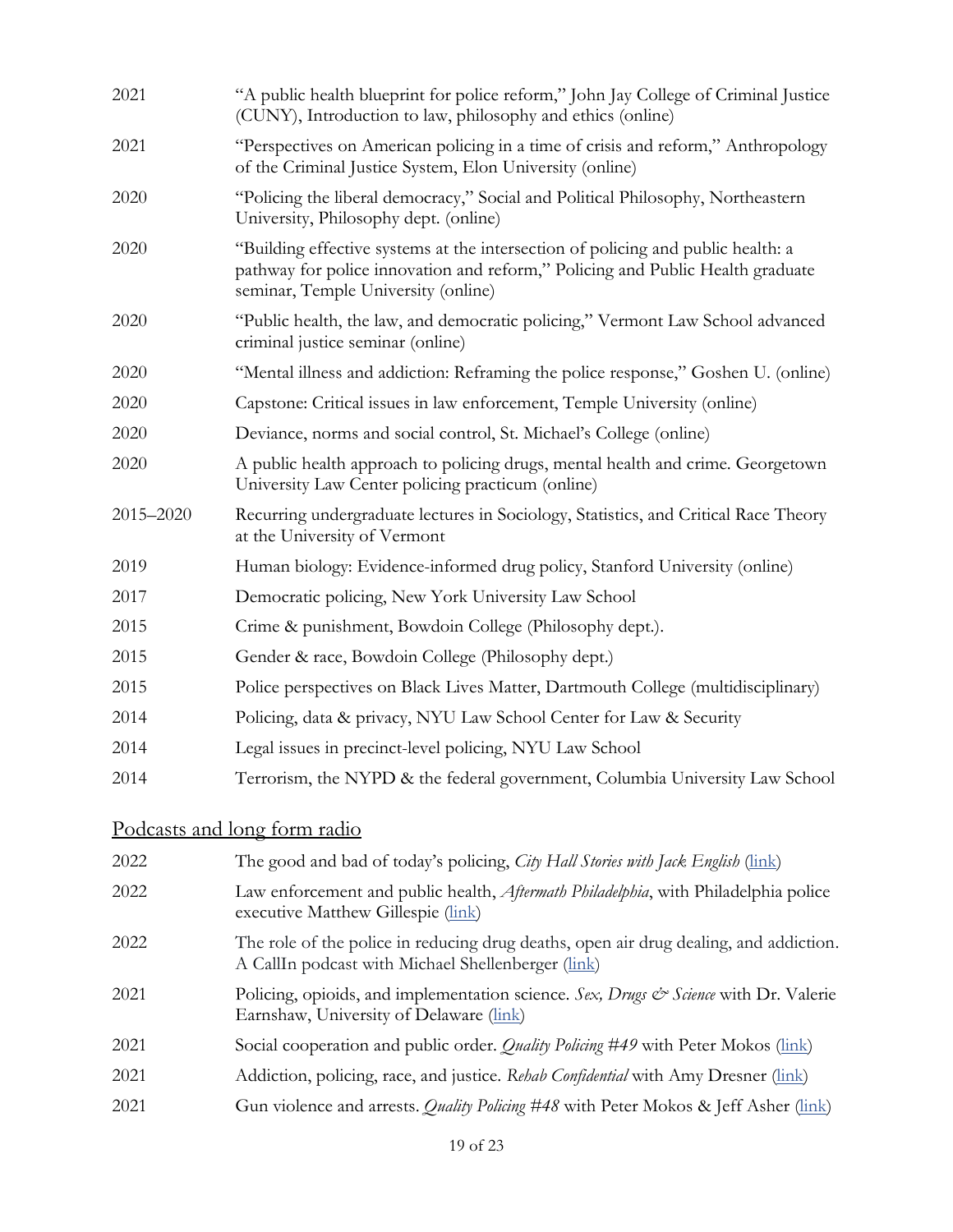| 2021      | "A public health blueprint for police reform," John Jay College of Criminal Justice<br>(CUNY), Introduction to law, philosophy and ethics (online)                                                        |
|-----------|-----------------------------------------------------------------------------------------------------------------------------------------------------------------------------------------------------------|
| 2021      | "Perspectives on American policing in a time of crisis and reform," Anthropology<br>of the Criminal Justice System, Elon University (online)                                                              |
| 2020      | "Policing the liberal democracy," Social and Political Philosophy, Northeastern<br>University, Philosophy dept. (online)                                                                                  |
| 2020      | "Building effective systems at the intersection of policing and public health: a<br>pathway for police innovation and reform," Policing and Public Health graduate<br>seminar, Temple University (online) |
| 2020      | "Public health, the law, and democratic policing," Vermont Law School advanced<br>criminal justice seminar (online)                                                                                       |
| 2020      | "Mental illness and addiction: Reframing the police response," Goshen U. (online)                                                                                                                         |
| 2020      | Capstone: Critical issues in law enforcement, Temple University (online)                                                                                                                                  |
| 2020      | Deviance, norms and social control, St. Michael's College (online)                                                                                                                                        |
| 2020      | A public health approach to policing drugs, mental health and crime. Georgetown<br>University Law Center policing practicum (online)                                                                      |
| 2015-2020 | Recurring undergraduate lectures in Sociology, Statistics, and Critical Race Theory<br>at the University of Vermont                                                                                       |
| 2019      | Human biology: Evidence-informed drug policy, Stanford University (online)                                                                                                                                |
| 2017      | Democratic policing, New York University Law School                                                                                                                                                       |
| 2015      | Crime & punishment, Bowdoin College (Philosophy dept.).                                                                                                                                                   |
| 2015      | Gender & race, Bowdoin College (Philosophy dept.)                                                                                                                                                         |
| 2015      | Police perspectives on Black Lives Matter, Dartmouth College (multidisciplinary)                                                                                                                          |
| 2014      | Policing, data & privacy, NYU Law School Center for Law & Security                                                                                                                                        |
| 2014      | Legal issues in precinct-level policing, NYU Law School                                                                                                                                                   |
| 2014      | Terrorism, the NYPD & the federal government, Columbia University Law School                                                                                                                              |
|           |                                                                                                                                                                                                           |

## Podcasts and long form radio

| 2022 | The good and bad of today's policing, City Hall Stories with Jack English (link)                                                              |
|------|-----------------------------------------------------------------------------------------------------------------------------------------------|
| 2022 | Law enforcement and public health, Aftermath Philadelphia, with Philadelphia police<br>executive Matthew Gillespie (link)                     |
| 2022 | The role of the police in reducing drug deaths, open air drug dealing, and addiction.<br>A CallIn podcast with Michael Shellenberger (link)   |
| 2021 | Policing, opioids, and implementation science. Sex, Drugs $\mathcal{C}^s$ Science with Dr. Valerie<br>Earnshaw, University of Delaware (link) |
| 2021 | Social cooperation and public order. <i>Quality Policing</i> #49 with Peter Mokos (link)                                                      |
| 2021 | Addiction, policing, race, and justice. Rehab Confidential with Amy Dresner (link)                                                            |
| 2021 | Gun violence and arrests. <i>Quality Policing</i> #48 with Peter Mokos & Jeff Asher (link)                                                    |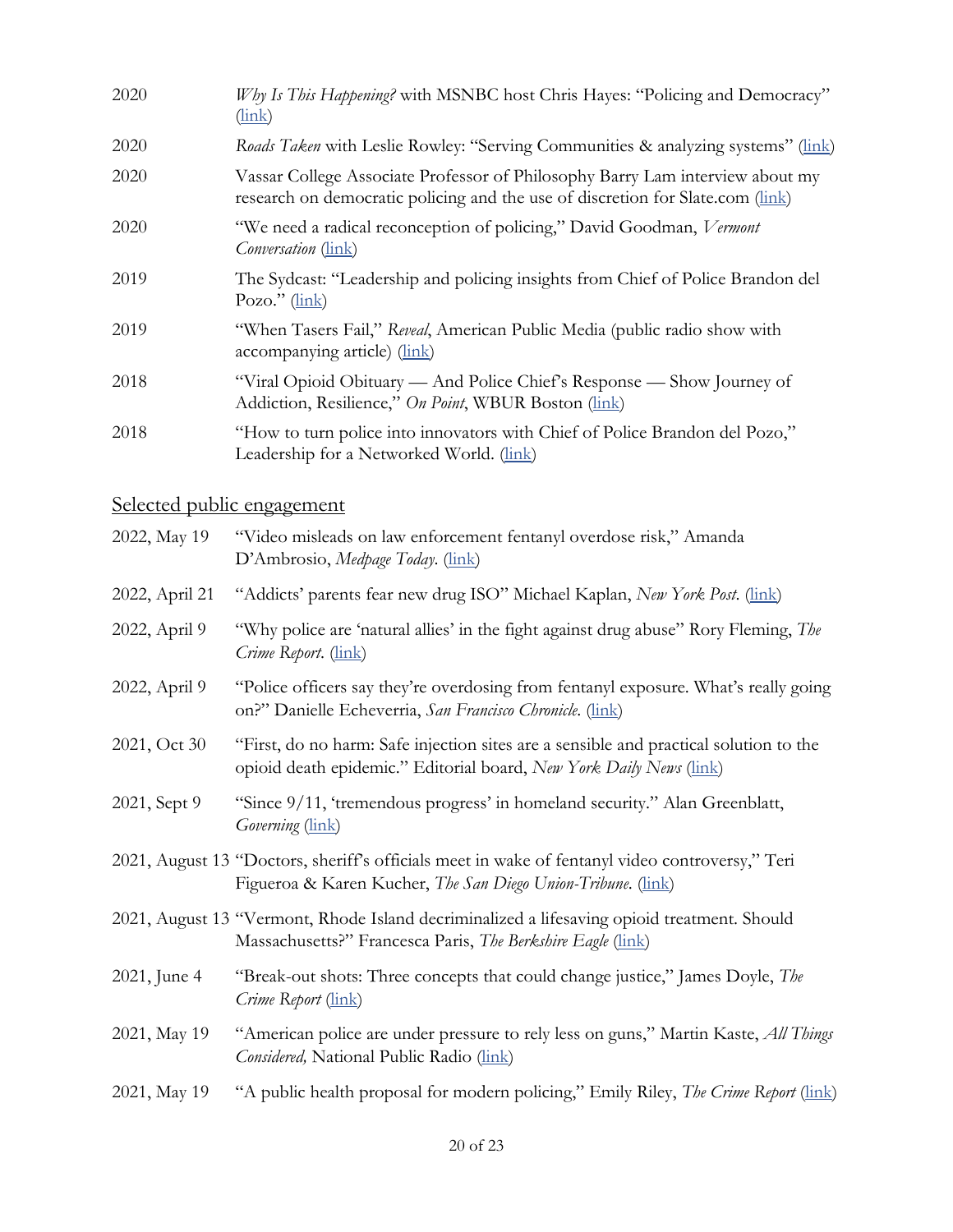| 2020                              | Why Is This Happening? with MSNBC host Chris Hayes: "Policing and Democracy"<br>$(\frac{\text{link}}{\text{link}})$                                             |
|-----------------------------------|-----------------------------------------------------------------------------------------------------------------------------------------------------------------|
| 2020                              | Roads Taken with Leslie Rowley: "Serving Communities & analyzing systems" (link)                                                                                |
| 2020                              | Vassar College Associate Professor of Philosophy Barry Lam interview about my<br>research on democratic policing and the use of discretion for Slate.com (link) |
| 2020                              | "We need a radical reconception of policing," David Goodman, Vermont<br><i>Conversation</i> ( <i>link</i> )                                                     |
| 2019                              | The Sydcast: "Leadership and policing insights from Chief of Police Brandon del<br>Pozo." $(\underline{\text{link}})$                                           |
| 2019                              | "When Tasers Fail," Reveal, American Public Media (public radio show with<br>accompanying article) (link)                                                       |
| 2018                              | "Viral Opioid Obituary — And Police Chief's Response — Show Journey of<br>Addiction, Resilience," On Point, WBUR Boston (link)                                  |
| 2018                              | "How to turn police into innovators with Chief of Police Brandon del Pozo,"<br>Leadership for a Networked World. (link)                                         |
| <u>Selected public engagement</u> |                                                                                                                                                                 |
| 2022, May 19                      | "Video misleads on law enforcement fentanyl overdose risk," Amanda<br>D'Ambrosio, Medpage Today. (link)                                                         |
| 2022, April 21                    | "Addicts' parents fear new drug ISO" Michael Kaplan, New York Post. (link)                                                                                      |
| 2022, April 9                     | "Why police are 'natural allies' in the fight against drug abuse" Rory Fleming, The<br>Crime Report. (link)                                                     |
| 2022, April 9                     | "Police officers say they're overdosing from fentanyl exposure. What's really going<br>on?" Danielle Echeverria, San Francisco Chronicle. (link)                |
| 2021, Oct 30                      | "First, do no harm: Safe injection sites are a sensible and practical solution to the<br>opioid death epidemic." Editorial board, New York Daily News (link)    |
| 2021, Sept 9                      | "Since 9/11, 'tremendous progress' in homeland security." Alan Greenblatt,<br>Governing (link)                                                                  |
|                                   | 2021, August 13 "Doctors, sheriff's officials meet in wake of fentanyl video controversy," Teri<br>Figueroa & Karen Kucher, The San Diego Union-Tribune. (link) |
|                                   | 2021, August 13 "Vermont, Rhode Island decriminalized a lifesaving opioid treatment. Should<br>Massachusetts?" Francesca Paris, The Berkshire Eagle (link)      |
| 2021, June 4                      | "Break-out shots: Three concepts that could change justice," James Doyle, The<br>Crime Report (link)                                                            |
| 2021, May 19                      | "American police are under pressure to rely less on guns," Martin Kaste, All Things<br>Considered, National Public Radio (link)                                 |

2021, May 19 "A public health proposal for modern policing," Emily Riley, *The Crime Report* [\(link\)](https://thecrimereport.org/2021/05/19/a-public-health-proposal-for-modern-policing/)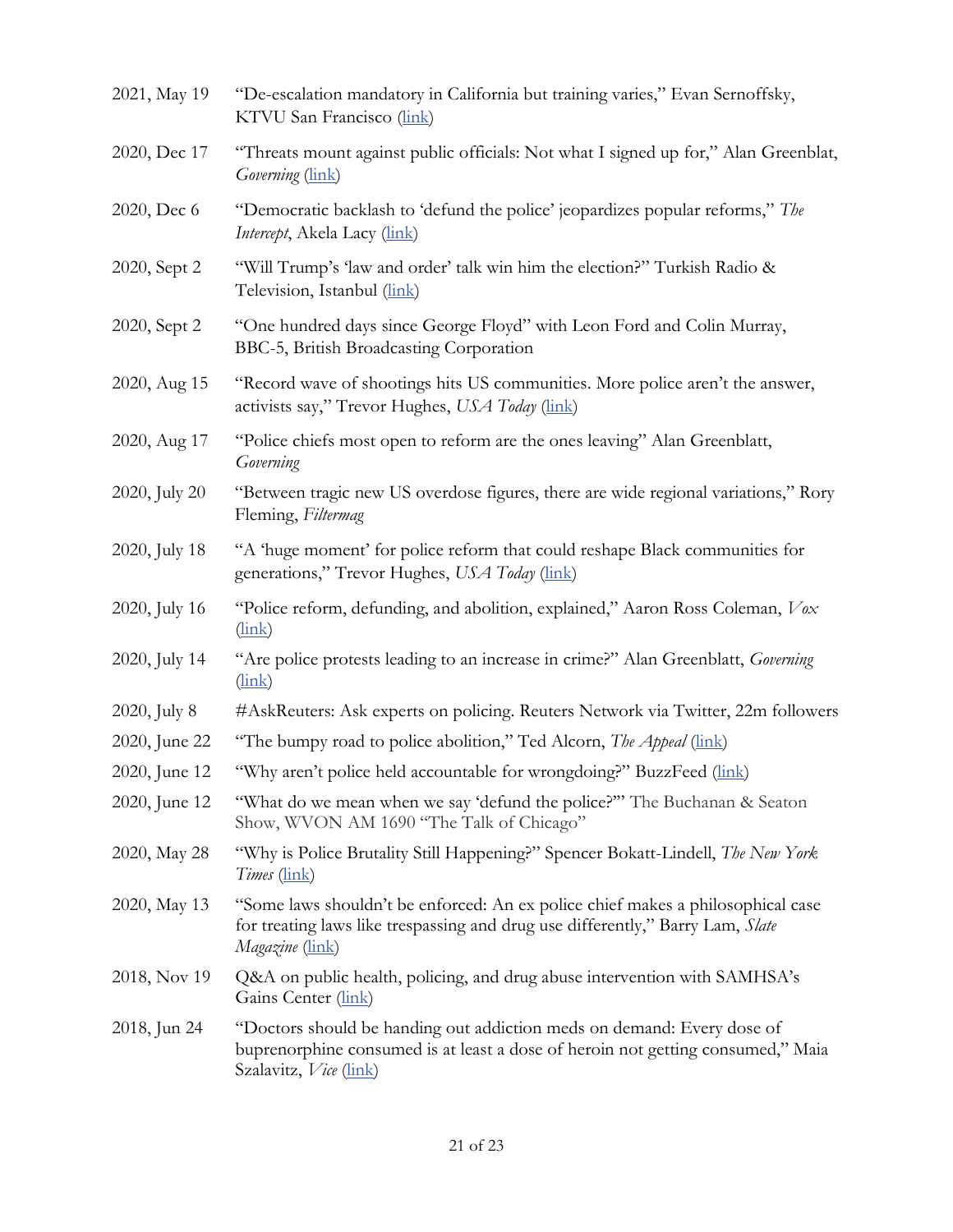| 2021, May 19  | "De-escalation mandatory in California but training varies," Evan Sernoffsky,<br>KTVU San Francisco (link)                                                                           |
|---------------|--------------------------------------------------------------------------------------------------------------------------------------------------------------------------------------|
| 2020, Dec 17  | "Threats mount against public officials: Not what I signed up for," Alan Greenblat,<br>Governing (link)                                                                              |
| 2020, Dec 6   | "Democratic backlash to 'defund the police' jeopardizes popular reforms," The<br><i>Intercept</i> , Akela Lacy (link)                                                                |
| 2020, Sept 2  | "Will Trump's 'law and order' talk win him the election?" Turkish Radio &<br>Television, Istanbul (link)                                                                             |
| 2020, Sept 2  | "One hundred days since George Floyd" with Leon Ford and Colin Murray,<br>BBC-5, British Broadcasting Corporation                                                                    |
| 2020, Aug 15  | "Record wave of shootings hits US communities. More police aren't the answer,<br>activists say," Trevor Hughes, USA Today (link)                                                     |
| 2020, Aug 17  | "Police chiefs most open to reform are the ones leaving" Alan Greenblatt,<br>Governing                                                                                               |
| 2020, July 20 | "Between tragic new US overdose figures, there are wide regional variations," Rory<br>Fleming, Filtermag                                                                             |
| 2020, July 18 | "A 'huge moment' for police reform that could reshape Black communities for<br>generations," Trevor Hughes, USA Today (link)                                                         |
| 2020, July 16 | "Police reform, defunding, and abolition, explained," Aaron Ross Coleman, Vox<br>$(\frac{\text{link}}{\text{link}})$                                                                 |
| 2020, July 14 | "Are police protests leading to an increase in crime?" Alan Greenblatt, Governing<br>$(\frac{\text{link}}{\text{link}})$                                                             |
| 2020, July 8  | #AskReuters: Ask experts on policing. Reuters Network via Twitter, 22m followers                                                                                                     |
| 2020, June 22 | "The bumpy road to police abolition," Ted Alcorn, The Appeal (link)                                                                                                                  |
| 2020, June 12 | "Why aren't police held accountable for wrongdoing?" BuzzFeed (link)                                                                                                                 |
| 2020, June 12 | "What do we mean when we say 'defund the police?"" The Buchanan & Seaton<br>Show, WVON AM 1690 "The Talk of Chicago"                                                                 |
| 2020, May 28  | "Why is Police Brutality Still Happening?" Spencer Bokatt-Lindell, <i>The New York</i><br><i>Times</i> ( <i>link</i> )                                                               |
| 2020, May 13  | "Some laws shouldn't be enforced: An ex police chief makes a philosophical case<br>for treating laws like trespassing and drug use differently," Barry Lam, Slate<br>Magazine (link) |
| 2018, Nov 19  | Q&A on public health, policing, and drug abuse intervention with SAMHSA's<br>Gains Center (link)                                                                                     |
| 2018, Jun 24  | "Doctors should be handing out addiction meds on demand: Every dose of<br>buprenorphine consumed is at least a dose of heroin not getting consumed," Maia<br>Szalavitz, Vice (link)  |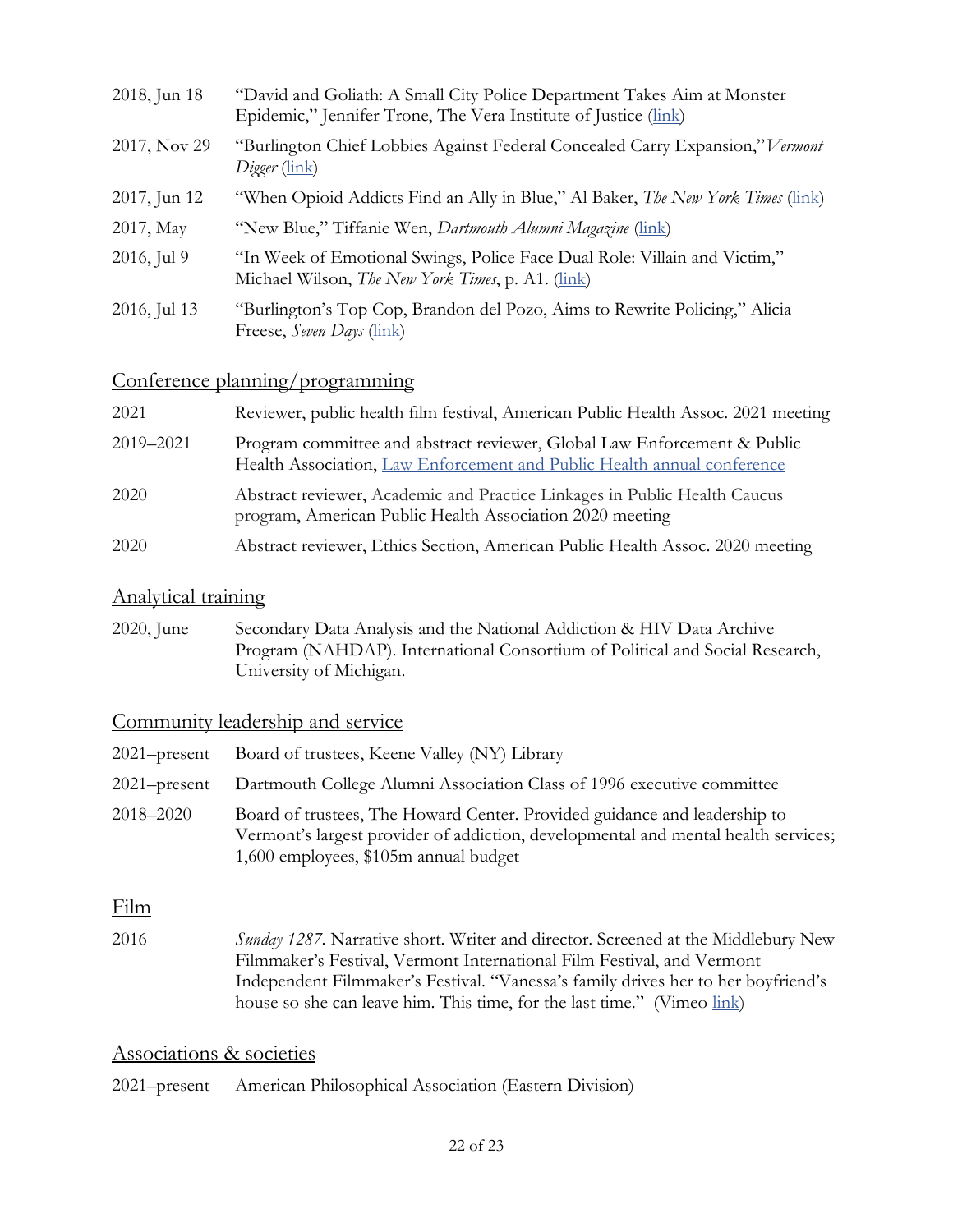| 2018, Jun 18 | "David and Goliath: A Small City Police Department Takes Aim at Monster<br>Epidemic," Jennifer Trone, The Vera Institute of Justice (link) |
|--------------|--------------------------------------------------------------------------------------------------------------------------------------------|
| 2017, Nov 29 | "Burlington Chief Lobbies Against Federal Concealed Carry Expansion," Vermont<br>Digger (link)                                             |
| 2017, Jun 12 | "When Opioid Addicts Find an Ally in Blue," Al Baker, <i>The New York Times</i> (link)                                                     |
| 2017, May    | "New Blue," Tiffanie Wen, Dartmouth Alumni Magazine (link)                                                                                 |
| 2016, Jul 9  | "In Week of Emotional Swings, Police Face Dual Role: Villain and Victim,"<br>Michael Wilson, <i>The New York Times</i> , p. A1. (link)     |
| 2016, Jul 13 | "Burlington's Top Cop, Brandon del Pozo, Aims to Rewrite Policing," Alicia<br>Freese, Seven Days (link)                                    |

### Conference planning/programming

| 2021      | Reviewer, public health film festival, American Public Health Assoc. 2021 meeting                                                                   |
|-----------|-----------------------------------------------------------------------------------------------------------------------------------------------------|
| 2019-2021 | Program committee and abstract reviewer, Global Law Enforcement & Public<br>Health Association, Law Enforcement and Public Health annual conference |
| 2020      | Abstract reviewer, Academic and Practice Linkages in Public Health Caucus<br>program, American Public Health Association 2020 meeting               |
| 2020      | Abstract reviewer, Ethics Section, American Public Health Assoc. 2020 meeting                                                                       |

#### Analytical training

2020, June Secondary Data Analysis and the National Addiction & HIV Data Archive Program (NAHDAP). International Consortium of Political and Social Research, University of Michigan.

### Community leadership and service

| $2021$ -present | Board of trustees, Keene Valley (NY) Library                                                                                                                                                             |
|-----------------|----------------------------------------------------------------------------------------------------------------------------------------------------------------------------------------------------------|
| $2021$ -present | Dartmouth College Alumni Association Class of 1996 executive committee                                                                                                                                   |
| 2018–2020       | Board of trustees, The Howard Center. Provided guidance and leadership to<br>Vermont's largest provider of addiction, developmental and mental health services;<br>1,600 employees, \$105m annual budget |

### Film

2016 *Sunday 1287*. Narrative short. Writer and director. Screened at the Middlebury New Filmmaker's Festival, Vermont International Film Festival, and Vermont Independent Filmmaker's Festival. "Vanessa's family drives her to her boyfriend's house so she can leave him. This time, for the last time." (Vimeo link)

### Associations & societies

2021–present American Philosophical Association (Eastern Division)